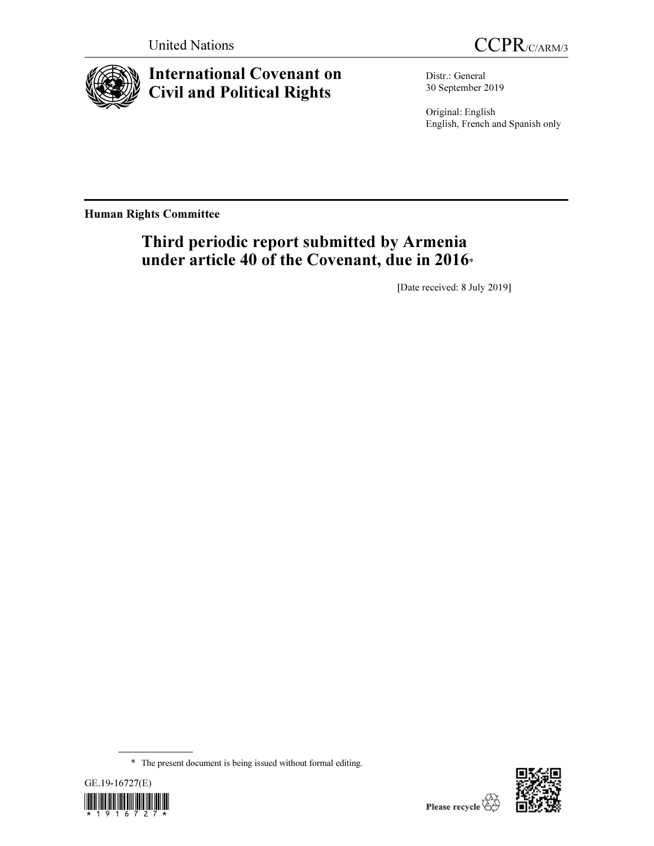



# International Covenant on Civil and Political Rights

Distr.: General 30 September 2019

Original: English English, French and Spanish only

Human Rights Committee

# Third periodic report submitted by Armenia under article 40 of the Covenant, due in 2016\*

[Date received: 8 July 2019]

<sup>\*</sup> The present document is being issued without formal editing.



l

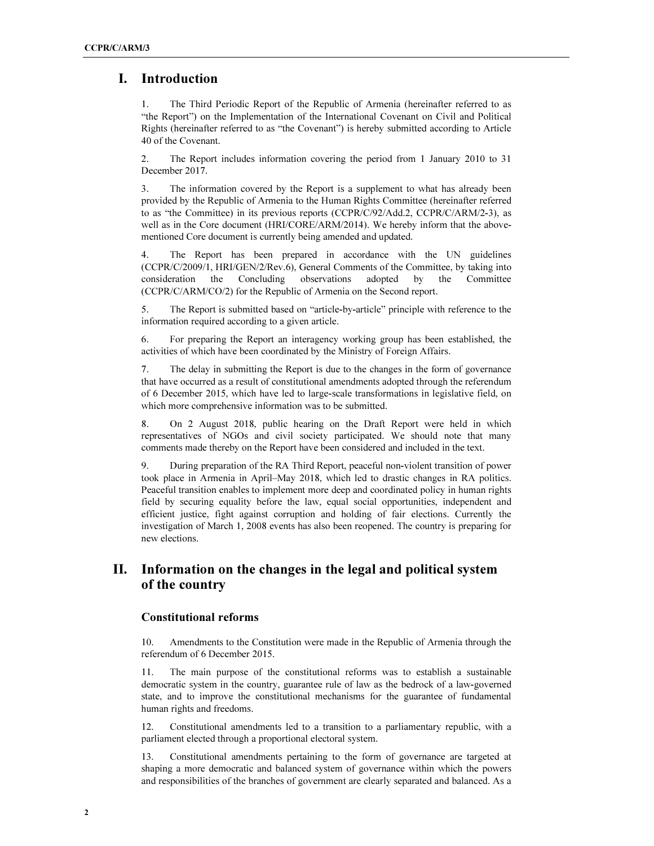## I. Introduction

1. The Third Periodic Report of the Republic of Armenia (hereinafter referred to as "the Report") on the Implementation of the International Covenant on Civil and Political Rights (hereinafter referred to as "the Covenant") is hereby submitted according to Article 40 of the Covenant.

2. The Report includes information covering the period from 1 January 2010 to 31 December 2017.

3. The information covered by the Report is a supplement to what has already been provided by the Republic of Armenia to the Human Rights Committee (hereinafter referred to as "the Committee) in its previous reports (CCPR/C/92/Add.2, CCPR/C/ARM/2-3), as well as in the Core document (HRI/CORE/ARM/2014). We hereby inform that the abovementioned Core document is currently being amended and updated.

4. The Report has been prepared in accordance with the UN guidelines (CCPR/C/2009/1, HRI/GEN/2/Rev.6), General Comments of the Committee, by taking into consideration the Concluding observations adopted by the Committee (CCPR/C/ARM/CO/2) for the Republic of Armenia on the Second report.

5. The Report is submitted based on "article-by-article" principle with reference to the information required according to a given article.

6. For preparing the Report an interagency working group has been established, the activities of which have been coordinated by the Ministry of Foreign Affairs.

7. The delay in submitting the Report is due to the changes in the form of governance that have occurred as a result of constitutional amendments adopted through the referendum of 6 December 2015, which have led to large-scale transformations in legislative field, on which more comprehensive information was to be submitted.

8. On 2 August 2018, public hearing on the Draft Report were held in which representatives of NGOs and civil society participated. We should note that many comments made thereby on the Report have been considered and included in the text.

9. During preparation of the RA Third Report, peaceful non-violent transition of power took place in Armenia in April–May 2018, which led to drastic changes in RA politics. Peaceful transition enables to implement more deep and coordinated policy in human rights field by securing equality before the law, equal social opportunities, independent and efficient justice, fight against corruption and holding of fair elections. Currently the investigation of March 1, 2008 events has also been reopened. The country is preparing for new elections.

# II. Information on the changes in the legal and political system of the country

#### Constitutional reforms

10. Amendments to the Constitution were made in the Republic of Armenia through the referendum of 6 December 2015.

11. The main purpose of the constitutional reforms was to establish a sustainable democratic system in the country, guarantee rule of law as the bedrock of a law-governed state, and to improve the constitutional mechanisms for the guarantee of fundamental human rights and freedoms.

12. Constitutional amendments led to a transition to a parliamentary republic, with a parliament elected through a proportional electoral system.

13. Constitutional amendments pertaining to the form of governance are targeted at shaping a more democratic and balanced system of governance within which the powers and responsibilities of the branches of government are clearly separated and balanced. As a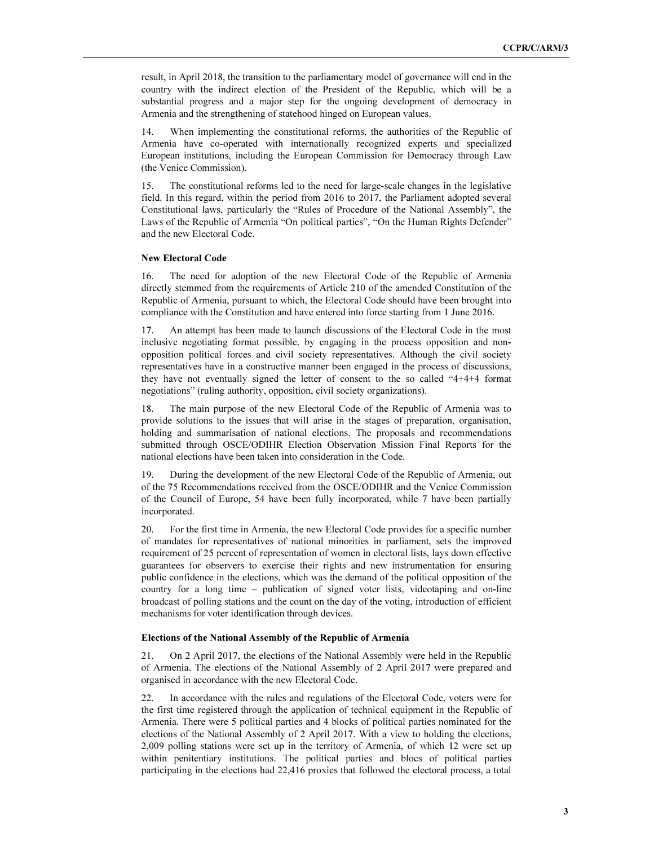result, in April 2018, the transition to the parliamentary model of governance will end in the country with the indirect election of the President of the Republic, which will be a substantial progress and a major step for the ongoing development of democracy in Armenia and the strengthening of statehood hinged on European values.

14. When implementing the constitutional reforms, the authorities of the Republic of Armenia have co-operated with internationally recognized experts and specialized European institutions, including the European Commission for Democracy through Law (the Venice Commission).

15. The constitutional reforms led to the need for large-scale changes in the legislative field. In this regard, within the period from 2016 to 2017, the Parliament adopted several Constitutional laws, particularly the "Rules of Procedure of the National Assembly", the Laws of the Republic of Armenia "On political parties", "On the Human Rights Defender" and the new Electoral Code.

#### New Electoral Code

16. The need for adoption of the new Electoral Code of the Republic of Armenia directly stemmed from the requirements of Article 210 of the amended Constitution of the Republic of Armenia, pursuant to which, the Electoral Code should have been brought into compliance with the Constitution and have entered into force starting from 1 June 2016.

17. An attempt has been made to launch discussions of the Electoral Code in the most inclusive negotiating format possible, by engaging in the process opposition and nonopposition political forces and civil society representatives. Although the civil society representatives have in a constructive manner been engaged in the process of discussions, they have not eventually signed the letter of consent to the so called "4+4+4 format negotiations" (ruling authority, opposition, civil society organizations).

18. The main purpose of the new Electoral Code of the Republic of Armenia was to provide solutions to the issues that will arise in the stages of preparation, organisation, holding and summarisation of national elections. The proposals and recommendations submitted through OSCE/ODIHR Election Observation Mission Final Reports for the national elections have been taken into consideration in the Code.

19. During the development of the new Electoral Code of the Republic of Armenia, out of the 75 Recommendations received from the OSCE/ODIHR and the Venice Commission of the Council of Europe, 54 have been fully incorporated, while 7 have been partially incorporated.

20. For the first time in Armenia, the new Electoral Code provides for a specific number of mandates for representatives of national minorities in parliament, sets the improved requirement of 25 percent of representation of women in electoral lists, lays down effective guarantees for observers to exercise their rights and new instrumentation for ensuring public confidence in the elections, which was the demand of the political opposition of the country for a long time – publication of signed voter lists, videotaping and on-line broadcast of polling stations and the count on the day of the voting, introduction of efficient mechanisms for voter identification through devices.

#### Elections of the National Assembly of the Republic of Armenia

21. On 2 April 2017, the elections of the National Assembly were held in the Republic of Armenia. The elections of the National Assembly of 2 April 2017 were prepared and organised in accordance with the new Electoral Code.

22. In accordance with the rules and regulations of the Electoral Code, voters were for the first time registered through the application of technical equipment in the Republic of Armenia. There were 5 political parties and 4 blocks of political parties nominated for the elections of the National Assembly of 2 April 2017. With a view to holding the elections, 2,009 polling stations were set up in the territory of Armenia, of which 12 were set up within penitentiary institutions. The political parties and blocs of political parties participating in the elections had 22,416 proxies that followed the electoral process, a total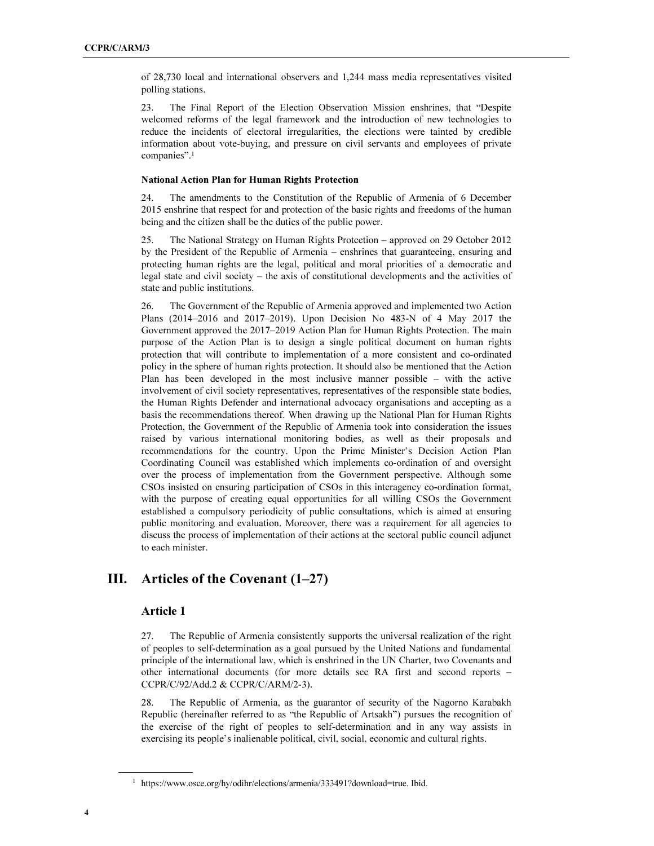of 28,730 local and international observers and 1,244 mass media representatives visited polling stations.

23. The Final Report of the Election Observation Mission enshrines, that "Despite welcomed reforms of the legal framework and the introduction of new technologies to reduce the incidents of electoral irregularities, the elections were tainted by credible information about vote-buying, and pressure on civil servants and employees of private companies".<sup>1</sup>

#### National Action Plan for Human Rights Protection

24. The amendments to the Constitution of the Republic of Armenia of 6 December 2015 enshrine that respect for and protection of the basic rights and freedoms of the human being and the citizen shall be the duties of the public power.

25. The National Strategy on Human Rights Protection – approved on 29 October 2012 by the President of the Republic of Armenia – enshrines that guaranteeing, ensuring and protecting human rights are the legal, political and moral priorities of a democratic and legal state and civil society – the axis of constitutional developments and the activities of state and public institutions.

26. The Government of the Republic of Armenia approved and implemented two Action Plans (2014–2016 and 2017–2019). Upon Decision No 483-N of 4 May 2017 the Government approved the 2017–2019 Action Plan for Human Rights Protection. The main purpose of the Action Plan is to design a single political document on human rights protection that will contribute to implementation of a more consistent and co-ordinated policy in the sphere of human rights protection. It should also be mentioned that the Action Plan has been developed in the most inclusive manner possible – with the active involvement of civil society representatives, representatives of the responsible state bodies, the Human Rights Defender and international advocacy organisations and accepting as a basis the recommendations thereof. When drawing up the National Plan for Human Rights Protection, the Government of the Republic of Armenia took into consideration the issues raised by various international monitoring bodies, as well as their proposals and recommendations for the country. Upon the Prime Minister's Decision Action Plan Coordinating Council was established which implements co-ordination of and oversight over the process of implementation from the Government perspective. Although some CSOs insisted on ensuring participation of CSOs in this interagency co-ordination format, with the purpose of creating equal opportunities for all willing CSOs the Government established a compulsory periodicity of public consultations, which is aimed at ensuring public monitoring and evaluation. Moreover, there was a requirement for all agencies to discuss the process of implementation of their actions at the sectoral public council adjunct to each minister.

# III. Articles of the Covenant (1–27)

#### Article 1

27. The Republic of Armenia consistently supports the universal realization of the right of peoples to self-determination as a goal pursued by the United Nations and fundamental principle of the international law, which is enshrined in the UN Charter, two Covenants and other international documents (for more details see RA first and second reports – CCPR/C/92/Add.2 & CCPR/C/ARM/2-3).

28. The Republic of Armenia, as the guarantor of security of the Nagorno Karabakh Republic (hereinafter referred to as "the Republic of Artsakh") pursues the recognition of the exercise of the right of peoples to self-determination and in any way assists in exercising its people's inalienable political, civil, social, economic and cultural rights.

 $\overline{a}$ 

<sup>&</sup>lt;sup>1</sup> https://www.osce.org/hy/odihr/elections/armenia/333491?download=true. Ibid.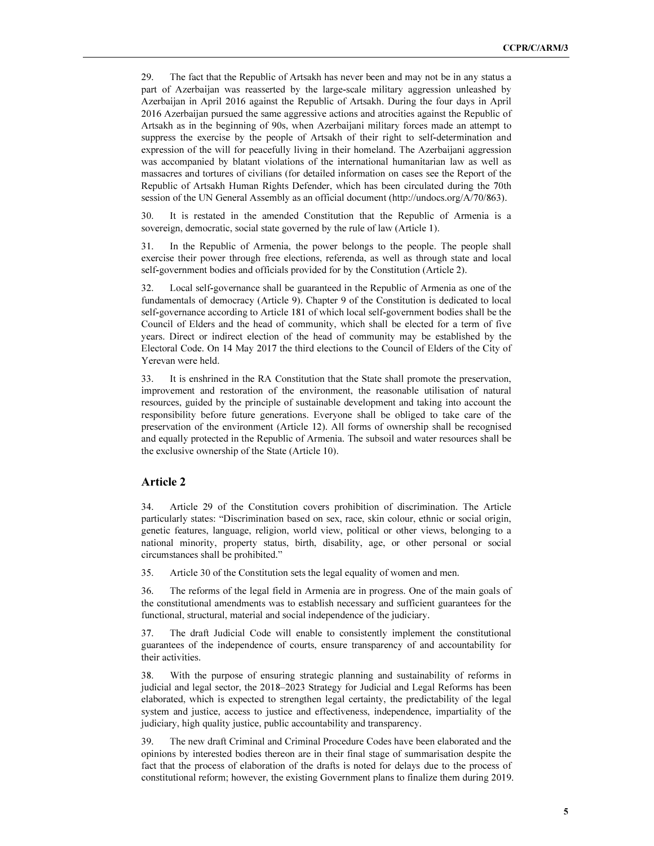29. The fact that the Republic of Artsakh has never been and may not be in any status a part of Azerbaijan was reasserted by the large-scale military aggression unleashed by Azerbaijan in April 2016 against the Republic of Artsakh. During the four days in April 2016 Azerbaijan pursued the same aggressive actions and atrocities against the Republic of Artsakh as in the beginning of 90s, when Azerbaijani military forces made an attempt to suppress the exercise by the people of Artsakh of their right to self-determination and expression of the will for peacefully living in their homeland. The Azerbaijani aggression was accompanied by blatant violations of the international humanitarian law as well as massacres and tortures of civilians (for detailed information on cases see the Report of the Republic of Artsakh Human Rights Defender, which has been circulated during the 70th session of the UN General Assembly as an official document (http://undocs.org/A/70/863).

30. It is restated in the amended Constitution that the Republic of Armenia is a sovereign, democratic, social state governed by the rule of law (Article 1).

31. In the Republic of Armenia, the power belongs to the people. The people shall exercise their power through free elections, referenda, as well as through state and local self-government bodies and officials provided for by the Constitution (Article 2).

32. Local self-governance shall be guaranteed in the Republic of Armenia as one of the fundamentals of democracy (Article 9). Chapter 9 of the Constitution is dedicated to local self-governance according to Article 181 of which local self-government bodies shall be the Council of Elders and the head of community, which shall be elected for a term of five years. Direct or indirect election of the head of community may be established by the Electoral Code. On 14 May 2017 the third elections to the Council of Elders of the City of Yerevan were held.

33. It is enshrined in the RA Constitution that the State shall promote the preservation, improvement and restoration of the environment, the reasonable utilisation of natural resources, guided by the principle of sustainable development and taking into account the responsibility before future generations. Everyone shall be obliged to take care of the preservation of the environment (Article 12). All forms of ownership shall be recognised and equally protected in the Republic of Armenia. The subsoil and water resources shall be the exclusive ownership of the State (Article 10).

### Article 2

34. Article 29 of the Constitution covers prohibition of discrimination. The Article particularly states: "Discrimination based on sex, race, skin colour, ethnic or social origin, genetic features, language, religion, world view, political or other views, belonging to a national minority, property status, birth, disability, age, or other personal or social circumstances shall be prohibited."

35. Article 30 of the Constitution sets the legal equality of women and men.

36. The reforms of the legal field in Armenia are in progress. One of the main goals of the constitutional amendments was to establish necessary and sufficient guarantees for the functional, structural, material and social independence of the judiciary.

37. The draft Judicial Code will enable to consistently implement the constitutional guarantees of the independence of courts, ensure transparency of and accountability for their activities.

38. With the purpose of ensuring strategic planning and sustainability of reforms in judicial and legal sector, the 2018–2023 Strategy for Judicial and Legal Reforms has been elaborated, which is expected to strengthen legal certainty, the predictability of the legal system and justice, access to justice and effectiveness, independence, impartiality of the judiciary, high quality justice, public accountability and transparency.

39. The new draft Criminal and Criminal Procedure Codes have been elaborated and the opinions by interested bodies thereon are in their final stage of summarisation despite the fact that the process of elaboration of the drafts is noted for delays due to the process of constitutional reform; however, the existing Government plans to finalize them during 2019.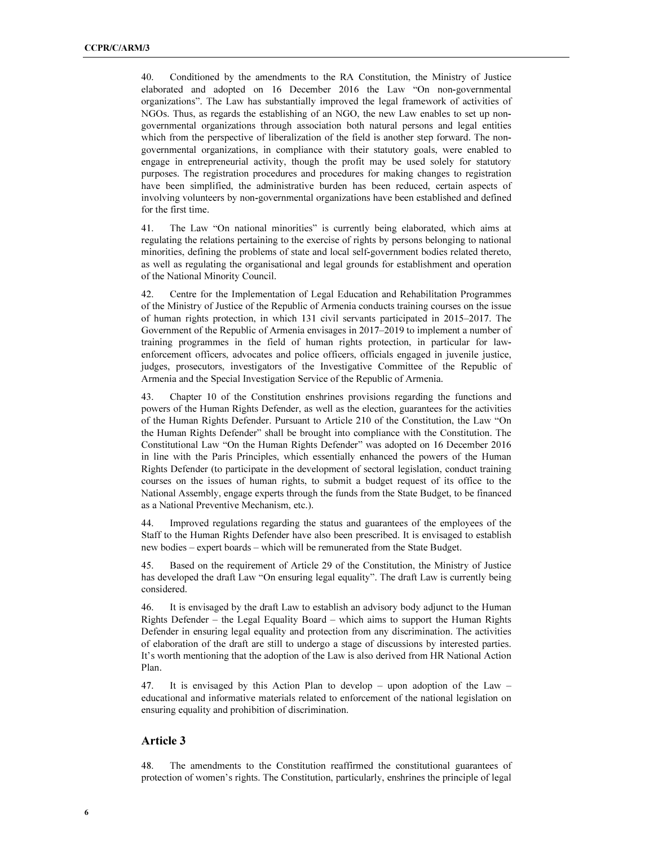40. Conditioned by the amendments to the RA Constitution, the Ministry of Justice elaborated and adopted on 16 December 2016 the Law "On non-governmental organizations". The Law has substantially improved the legal framework of activities of NGOs. Thus, as regards the establishing of an NGO, the new Law enables to set up nongovernmental organizations through association both natural persons and legal entities which from the perspective of liberalization of the field is another step forward. The nongovernmental organizations, in compliance with their statutory goals, were enabled to engage in entrepreneurial activity, though the profit may be used solely for statutory purposes. The registration procedures and procedures for making changes to registration have been simplified, the administrative burden has been reduced, certain aspects of involving volunteers by non-governmental organizations have been established and defined for the first time.

41. The Law "On national minorities" is currently being elaborated, which aims at regulating the relations pertaining to the exercise of rights by persons belonging to national minorities, defining the problems of state and local self-government bodies related thereto, as well as regulating the organisational and legal grounds for establishment and operation of the National Minority Council.

42. Centre for the Implementation of Legal Education and Rehabilitation Programmes of the Ministry of Justice of the Republic of Armenia conducts training courses on the issue of human rights protection, in which 131 civil servants participated in 2015–2017. The Government of the Republic of Armenia envisages in 2017–2019 to implement a number of training programmes in the field of human rights protection, in particular for lawenforcement officers, advocates and police officers, officials engaged in juvenile justice, judges, prosecutors, investigators of the Investigative Committee of the Republic of Armenia and the Special Investigation Service of the Republic of Armenia.

43. Chapter 10 of the Constitution enshrines provisions regarding the functions and powers of the Human Rights Defender, as well as the election, guarantees for the activities of the Human Rights Defender. Pursuant to Article 210 of the Constitution, the Law "On the Human Rights Defender" shall be brought into compliance with the Constitution. The Constitutional Law "On the Human Rights Defender" was adopted on 16 December 2016 in line with the Paris Principles, which essentially enhanced the powers of the Human Rights Defender (to participate in the development of sectoral legislation, conduct training courses on the issues of human rights, to submit a budget request of its office to the National Assembly, engage experts through the funds from the State Budget, to be financed as a National Preventive Mechanism, etc.).

44. Improved regulations regarding the status and guarantees of the employees of the Staff to the Human Rights Defender have also been prescribed. It is envisaged to establish new bodies – expert boards – which will be remunerated from the State Budget.

45. Based on the requirement of Article 29 of the Constitution, the Ministry of Justice has developed the draft Law "On ensuring legal equality". The draft Law is currently being considered.

46. It is envisaged by the draft Law to establish an advisory body adjunct to the Human Rights Defender – the Legal Equality Board – which aims to support the Human Rights Defender in ensuring legal equality and protection from any discrimination. The activities of elaboration of the draft are still to undergo a stage of discussions by interested parties. It's worth mentioning that the adoption of the Law is also derived from HR National Action Plan.

47. It is envisaged by this Action Plan to develop – upon adoption of the Law – educational and informative materials related to enforcement of the national legislation on ensuring equality and prohibition of discrimination.

#### Article 3

48. The amendments to the Constitution reaffirmed the constitutional guarantees of protection of women's rights. The Constitution, particularly, enshrines the principle of legal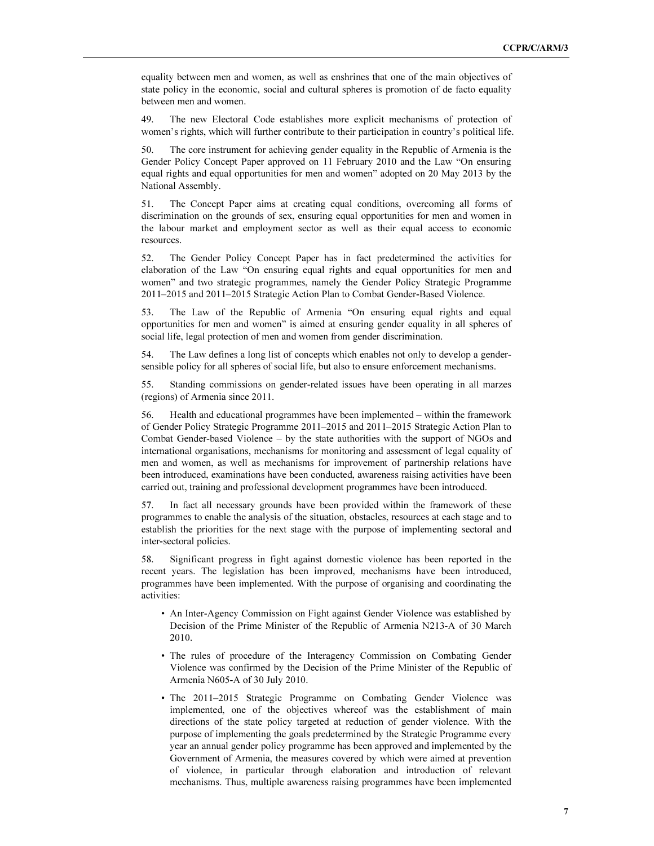equality between men and women, as well as enshrines that one of the main objectives of state policy in the economic, social and cultural spheres is promotion of de facto equality between men and women.

49. The new Electoral Code establishes more explicit mechanisms of protection of women's rights, which will further contribute to their participation in country's political life.

50. The core instrument for achieving gender equality in the Republic of Armenia is the Gender Policy Concept Paper approved on 11 February 2010 and the Law "On ensuring equal rights and equal opportunities for men and women" adopted on 20 May 2013 by the National Assembly.

51. The Concept Paper aims at creating equal conditions, overcoming all forms of discrimination on the grounds of sex, ensuring equal opportunities for men and women in the labour market and employment sector as well as their equal access to economic resources.

52. The Gender Policy Concept Paper has in fact predetermined the activities for elaboration of the Law "On ensuring equal rights and equal opportunities for men and women" and two strategic programmes, namely the Gender Policy Strategic Programme 2011–2015 and 2011–2015 Strategic Action Plan to Combat Gender-Based Violence.

53. The Law of the Republic of Armenia "On ensuring equal rights and equal opportunities for men and women" is aimed at ensuring gender equality in all spheres of social life, legal protection of men and women from gender discrimination.

54. The Law defines a long list of concepts which enables not only to develop a gendersensible policy for all spheres of social life, but also to ensure enforcement mechanisms.

55. Standing commissions on gender-related issues have been operating in all marzes (regions) of Armenia since 2011.

56. Health and educational programmes have been implemented – within the framework of Gender Policy Strategic Programme 2011–2015 and 2011–2015 Strategic Action Plan to Combat Gender-based Violence – by the state authorities with the support of NGOs and international organisations, mechanisms for monitoring and assessment of legal equality of men and women, as well as mechanisms for improvement of partnership relations have been introduced, examinations have been conducted, awareness raising activities have been carried out, training and professional development programmes have been introduced.

57. In fact all necessary grounds have been provided within the framework of these programmes to enable the analysis of the situation, obstacles, resources at each stage and to establish the priorities for the next stage with the purpose of implementing sectoral and inter-sectoral policies.

58. Significant progress in fight against domestic violence has been reported in the recent years. The legislation has been improved, mechanisms have been introduced, programmes have been implemented. With the purpose of organising and coordinating the activities:

- An Inter-Agency Commission on Fight against Gender Violence was established by Decision of the Prime Minister of the Republic of Armenia N213-A of 30 March 2010.
- The rules of procedure of the Interagency Commission on Combating Gender Violence was confirmed by the Decision of the Prime Minister of the Republic of Armenia N605-A of 30 July 2010.
- The 2011–2015 Strategic Programme on Combating Gender Violence was implemented, one of the objectives whereof was the establishment of main directions of the state policy targeted at reduction of gender violence. With the purpose of implementing the goals predetermined by the Strategic Programme every year an annual gender policy programme has been approved and implemented by the Government of Armenia, the measures covered by which were aimed at prevention of violence, in particular through elaboration and introduction of relevant mechanisms. Thus, multiple awareness raising programmes have been implemented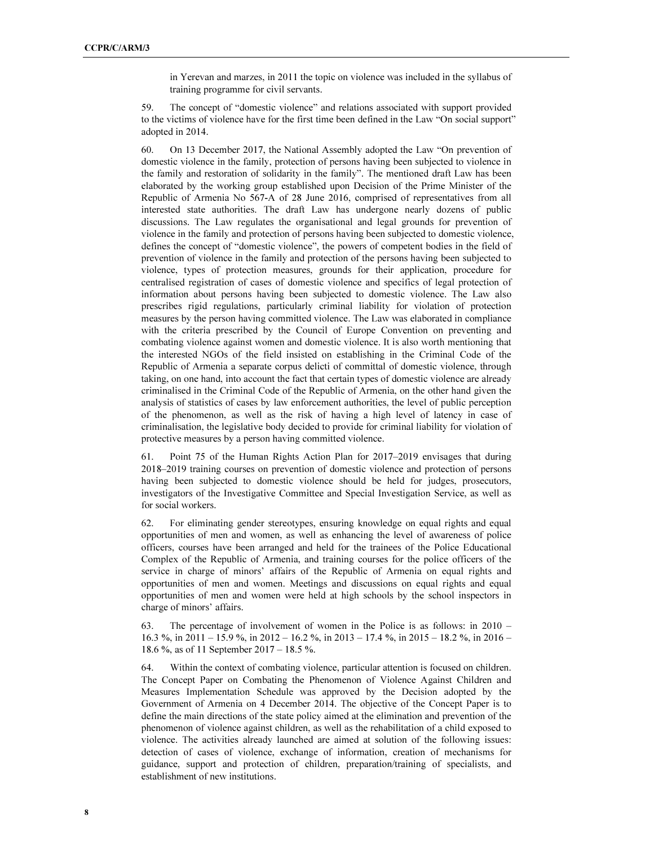in Yerevan and marzes, in 2011 the topic on violence was included in the syllabus of training programme for civil servants.

59. The concept of "domestic violence" and relations associated with support provided to the victims of violence have for the first time been defined in the Law "On social support" adopted in 2014.

60. On 13 December 2017, the National Assembly adopted the Law "On prevention of domestic violence in the family, protection of persons having been subjected to violence in the family and restoration of solidarity in the family". The mentioned draft Law has been elaborated by the working group established upon Decision of the Prime Minister of the Republic of Armenia No 567-A of 28 June 2016, comprised of representatives from all interested state authorities. The draft Law has undergone nearly dozens of public discussions. The Law regulates the organisational and legal grounds for prevention of violence in the family and protection of persons having been subjected to domestic violence, defines the concept of "domestic violence", the powers of competent bodies in the field of prevention of violence in the family and protection of the persons having been subjected to violence, types of protection measures, grounds for their application, procedure for centralised registration of cases of domestic violence and specifics of legal protection of information about persons having been subjected to domestic violence. The Law also prescribes rigid regulations, particularly criminal liability for violation of protection measures by the person having committed violence. The Law was elaborated in compliance with the criteria prescribed by the Council of Europe Convention on preventing and combating violence against women and domestic violence. It is also worth mentioning that the interested NGOs of the field insisted on establishing in the Criminal Code of the Republic of Armenia a separate corpus delicti of committal of domestic violence, through taking, on one hand, into account the fact that certain types of domestic violence are already criminalised in the Criminal Code of the Republic of Armenia, on the other hand given the analysis of statistics of cases by law enforcement authorities, the level of public perception of the phenomenon, as well as the risk of having a high level of latency in case of criminalisation, the legislative body decided to provide for criminal liability for violation of protective measures by a person having committed violence.

61. Point 75 of the Human Rights Action Plan for 2017–2019 envisages that during 2018–2019 training courses on prevention of domestic violence and protection of persons having been subjected to domestic violence should be held for judges, prosecutors, investigators of the Investigative Committee and Special Investigation Service, as well as for social workers.

62. For eliminating gender stereotypes, ensuring knowledge on equal rights and equal opportunities of men and women, as well as enhancing the level of awareness of police officers, courses have been arranged and held for the trainees of the Police Educational Complex of the Republic of Armenia, and training courses for the police officers of the service in charge of minors' affairs of the Republic of Armenia on equal rights and opportunities of men and women. Meetings and discussions on equal rights and equal opportunities of men and women were held at high schools by the school inspectors in charge of minors' affairs.

63. The percentage of involvement of women in the Police is as follows: in 2010 – 16.3 %, in 2011 – 15.9 %, in 2012 – 16.2 %, in 2013 – 17.4 %, in 2015 – 18.2 %, in 2016 – 18.6 %, as of 11 September 2017 – 18.5 %.

64. Within the context of combating violence, particular attention is focused on children. The Concept Paper on Combating the Phenomenon of Violence Against Children and Measures Implementation Schedule was approved by the Decision adopted by the Government of Armenia on 4 December 2014. The objective of the Concept Paper is to define the main directions of the state policy aimed at the elimination and prevention of the phenomenon of violence against children, as well as the rehabilitation of a child exposed to violence. The activities already launched are aimed at solution of the following issues: detection of cases of violence, exchange of information, creation of mechanisms for guidance, support and protection of children, preparation/training of specialists, and establishment of new institutions.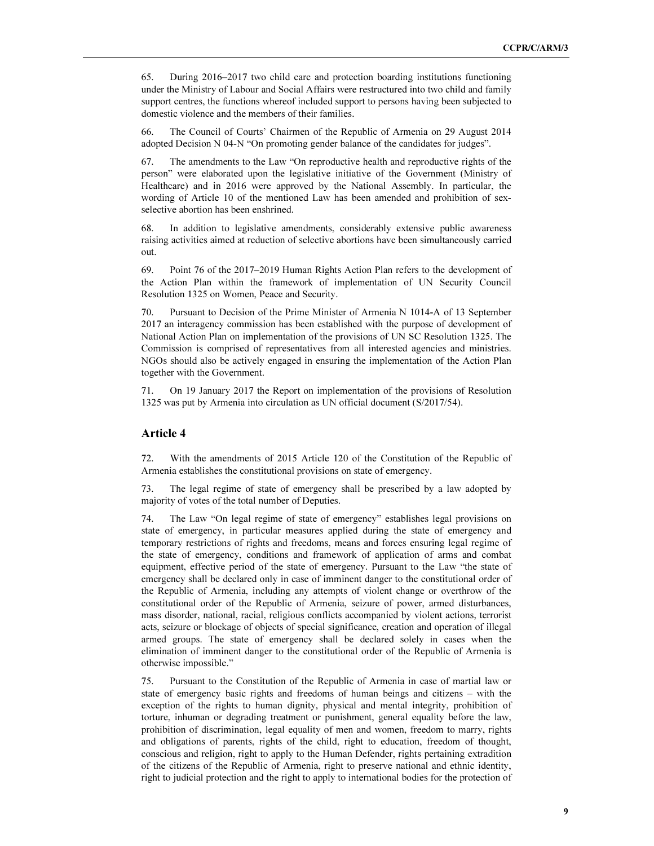65. During 2016–2017 two child care and protection boarding institutions functioning under the Ministry of Labour and Social Affairs were restructured into two child and family support centres, the functions whereof included support to persons having been subjected to domestic violence and the members of their families.

66. The Council of Courts' Chairmen of the Republic of Armenia on 29 August 2014 adopted Decision N 04-N "On promoting gender balance of the candidates for judges".

67. The amendments to the Law "On reproductive health and reproductive rights of the person" were elaborated upon the legislative initiative of the Government (Ministry of Healthcare) and in 2016 were approved by the National Assembly. In particular, the wording of Article 10 of the mentioned Law has been amended and prohibition of sexselective abortion has been enshrined.

68. In addition to legislative amendments, considerably extensive public awareness raising activities aimed at reduction of selective abortions have been simultaneously carried out.

69. Point 76 of the 2017–2019 Human Rights Action Plan refers to the development of the Action Plan within the framework of implementation of UN Security Council Resolution 1325 on Women, Peace and Security.

70. Pursuant to Decision of the Prime Minister of Armenia N 1014-A of 13 September 2017 an interagency commission has been established with the purpose of development of National Action Plan on implementation of the provisions of UN SC Resolution 1325. The Commission is comprised of representatives from all interested agencies and ministries. NGOs should also be actively engaged in ensuring the implementation of the Action Plan together with the Government.

71. On 19 January 2017 the Report on implementation of the provisions of Resolution 1325 was put by Armenia into circulation as UN official document (S/2017/54).

#### Article 4

72. With the amendments of 2015 Article 120 of the Constitution of the Republic of Armenia establishes the constitutional provisions on state of emergency.

73. The legal regime of state of emergency shall be prescribed by a law adopted by majority of votes of the total number of Deputies.

74. The Law "On legal regime of state of emergency" establishes legal provisions on state of emergency, in particular measures applied during the state of emergency and temporary restrictions of rights and freedoms, means and forces ensuring legal regime of the state of emergency, conditions and framework of application of arms and combat equipment, effective period of the state of emergency. Pursuant to the Law "the state of emergency shall be declared only in case of imminent danger to the constitutional order of the Republic of Armenia, including any attempts of violent change or overthrow of the constitutional order of the Republic of Armenia, seizure of power, armed disturbances, mass disorder, national, racial, religious conflicts accompanied by violent actions, terrorist acts, seizure or blockage of objects of special significance, creation and operation of illegal armed groups. The state of emergency shall be declared solely in cases when the elimination of imminent danger to the constitutional order of the Republic of Armenia is otherwise impossible."

75. Pursuant to the Constitution of the Republic of Armenia in case of martial law or state of emergency basic rights and freedoms of human beings and citizens – with the exception of the rights to human dignity, physical and mental integrity, prohibition of torture, inhuman or degrading treatment or punishment, general equality before the law, prohibition of discrimination, legal equality of men and women, freedom to marry, rights and obligations of parents, rights of the child, right to education, freedom of thought, conscious and religion, right to apply to the Human Defender, rights pertaining extradition of the citizens of the Republic of Armenia, right to preserve national and ethnic identity, right to judicial protection and the right to apply to international bodies for the protection of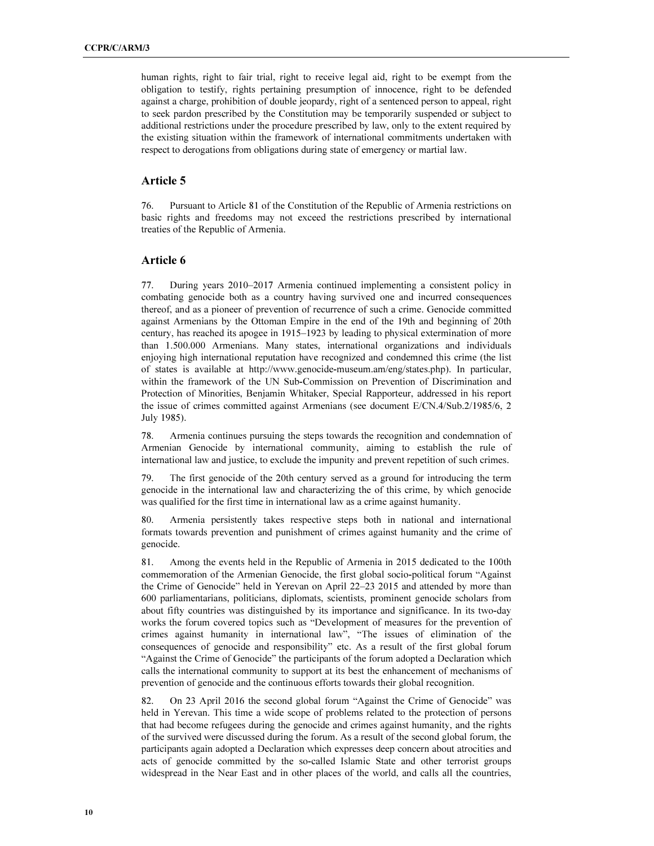human rights, right to fair trial, right to receive legal aid, right to be exempt from the obligation to testify, rights pertaining presumption of innocence, right to be defended against a charge, prohibition of double jeopardy, right of a sentenced person to appeal, right to seek pardon prescribed by the Constitution may be temporarily suspended or subject to additional restrictions under the procedure prescribed by law, only to the extent required by the existing situation within the framework of international commitments undertaken with respect to derogations from obligations during state of emergency or martial law.

#### Article 5

76. Pursuant to Article 81 of the Constitution of the Republic of Armenia restrictions on basic rights and freedoms may not exceed the restrictions prescribed by international treaties of the Republic of Armenia.

#### Article 6

77. During years 2010–2017 Armenia continued implementing a consistent policy in combating genocide both as a country having survived one and incurred consequences thereof, and as a pioneer of prevention of recurrence of such a crime. Genocide committed against Armenians by the Ottoman Empire in the end of the 19th and beginning of 20th century, has reached its apogee in 1915–1923 by leading to physical extermination of more than 1.500.000 Armenians. Many states, international organizations and individuals enjoying high international reputation have recognized and condemned this crime (the list of states is available at http://www.genocide-museum.am/eng/states.php). In particular, within the framework of the UN Sub-Commission on Prevention of Discrimination and Protection of Minorities, Benjamin Whitaker, Special Rapporteur, addressed in his report the issue of crimes committed against Armenians (see document E/CN.4/Sub.2/1985/6, 2 July 1985).

78. Armenia continues pursuing the steps towards the recognition and condemnation of Armenian Genocide by international community, aiming to establish the rule of international law and justice, to exclude the impunity and prevent repetition of such crimes.

79. The first genocide of the 20th century served as a ground for introducing the term genocide in the international law and characterizing the of this crime, by which genocide was qualified for the first time in international law as a crime against humanity.

80. Armenia persistently takes respective steps both in national and international formats towards prevention and punishment of crimes against humanity and the crime of genocide.

81. Among the events held in the Republic of Armenia in 2015 dedicated to the 100th commemoration of the Armenian Genocide, the first global socio-political forum "Against the Crime of Genocide" held in Yerevan on April 22–23 2015 and attended by more than 600 parliamentarians, politicians, diplomats, scientists, prominent genocide scholars from about fifty countries was distinguished by its importance and significance. In its two-day works the forum covered topics such as "Development of measures for the prevention of crimes against humanity in international law", "The issues of elimination of the consequences of genocide and responsibility" etc. As a result of the first global forum "Against the Crime of Genocide" the participants of the forum adopted a Declaration which calls the international community to support at its best the enhancement of mechanisms of prevention of genocide and the continuous efforts towards their global recognition.

82. On 23 April 2016 the second global forum "Against the Crime of Genocide" was held in Yerevan. This time a wide scope of problems related to the protection of persons that had become refugees during the genocide and crimes against humanity, and the rights of the survived were discussed during the forum. As a result of the second global forum, the participants again adopted a Declaration which expresses deep concern about atrocities and acts of genocide committed by the so-called Islamic State and other terrorist groups widespread in the Near East and in other places of the world, and calls all the countries,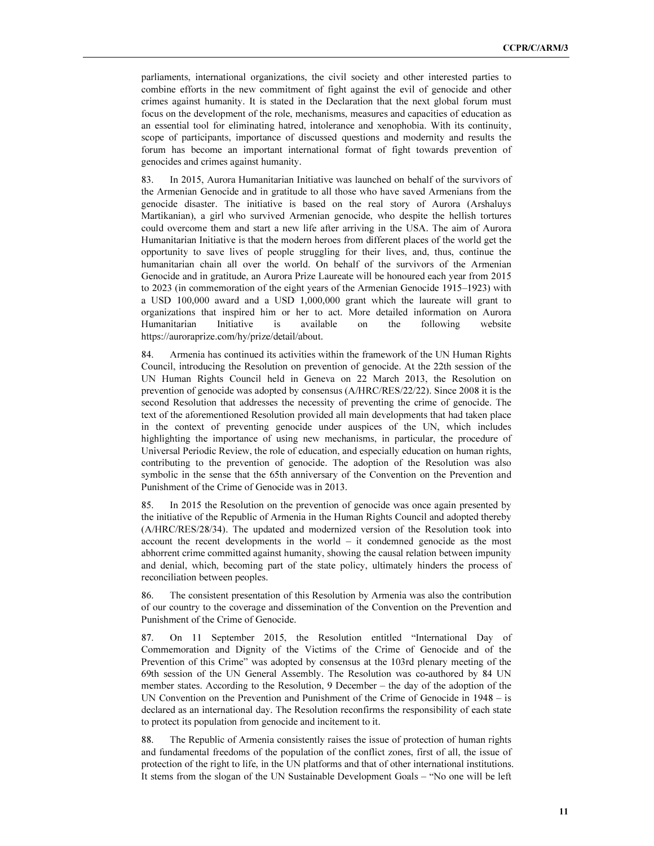parliaments, international organizations, the civil society and other interested parties to combine efforts in the new commitment of fight against the evil of genocide and other crimes against humanity. It is stated in the Declaration that the next global forum must focus on the development of the role, mechanisms, measures and capacities of education as an essential tool for eliminating hatred, intolerance and xenophobia. With its continuity, scope of participants, importance of discussed questions and modernity and results the forum has become an important international format of fight towards prevention of genocides and crimes against humanity.

83. In 2015, Aurora Humanitarian Initiative was launched on behalf of the survivors of the Armenian Genocide and in gratitude to all those who have saved Armenians from the genocide disaster. The initiative is based on the real story of Aurora (Arshaluys Martikanian), a girl who survived Armenian genocide, who despite the hellish tortures could overcome them and start a new life after arriving in the USA. The aim of Aurora Humanitarian Initiative is that the modern heroes from different places of the world get the opportunity to save lives of people struggling for their lives, and, thus, continue the humanitarian chain all over the world. On behalf of the survivors of the Armenian Genocide and in gratitude, an Aurora Prize Laureate will be honoured each year from 2015 to 2023 (in commemoration of the eight years of the Armenian Genocide 1915–1923) with a USD 100,000 award and a USD 1,000,000 grant which the laureate will grant to organizations that inspired him or her to act. More detailed information on Aurora Humanitarian Initiative is available on the following website https://auroraprize.com/hy/prize/detail/about.

84. Armenia has continued its activities within the framework of the UN Human Rights Council, introducing the Resolution on prevention of genocide. At the 22th session of the UN Human Rights Council held in Geneva on 22 March 2013, the Resolution on prevention of genocide was adopted by consensus (A/HRC/RES/22/22). Since 2008 it is the second Resolution that addresses the necessity of preventing the crime of genocide. The text of the aforementioned Resolution provided all main developments that had taken place in the context of preventing genocide under auspices of the UN, which includes highlighting the importance of using new mechanisms, in particular, the procedure of Universal Periodic Review, the role of education, and especially education on human rights, contributing to the prevention of genocide. The adoption of the Resolution was also symbolic in the sense that the 65th anniversary of the Convention on the Prevention and Punishment of the Crime of Genocide was in 2013.

85. In 2015 the Resolution on the prevention of genocide was once again presented by the initiative of the Republic of Armenia in the Human Rights Council and adopted thereby (A/HRC/RES/28/34). The updated and modernized version of the Resolution took into account the recent developments in the world – it condemned genocide as the most abhorrent crime committed against humanity, showing the causal relation between impunity and denial, which, becoming part of the state policy, ultimately hinders the process of reconciliation between peoples.

86. The consistent presentation of this Resolution by Armenia was also the contribution of our country to the coverage and dissemination of the Convention on the Prevention and Punishment of the Crime of Genocide.

87. On 11 September 2015, the Resolution entitled "International Day of Commemoration and Dignity of the Victims of the Crime of Genocide and of the Prevention of this Crime" was adopted by consensus at the 103rd plenary meeting of the 69th session of the UN General Assembly. The Resolution was co-authored by 84 UN member states. According to the Resolution, 9 December – the day of the adoption of the UN Convention on the Prevention and Punishment of the Crime of Genocide in 1948 – is declared as an international day. The Resolution reconfirms the responsibility of each state to protect its population from genocide and incitement to it.

88. The Republic of Armenia consistently raises the issue of protection of human rights and fundamental freedoms of the population of the conflict zones, first of all, the issue of protection of the right to life, in the UN platforms and that of other international institutions. It stems from the slogan of the UN Sustainable Development Goals – "No one will be left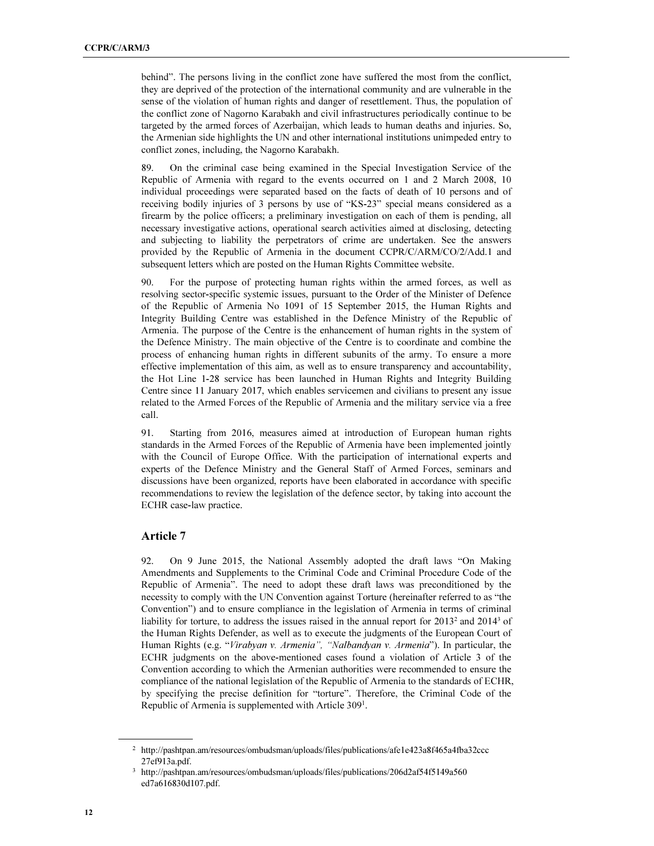behind". The persons living in the conflict zone have suffered the most from the conflict, they are deprived of the protection of the international community and are vulnerable in the sense of the violation of human rights and danger of resettlement. Thus, the population of the conflict zone of Nagorno Karabakh and civil infrastructures periodically continue to be targeted by the armed forces of Azerbaijan, which leads to human deaths and injuries. So, the Armenian side highlights the UN and other international institutions unimpeded entry to conflict zones, including, the Nagorno Karabakh.

89. On the criminal case being examined in the Special Investigation Service of the Republic of Armenia with regard to the events occurred on 1 and 2 March 2008, 10 individual proceedings were separated based on the facts of death of 10 persons and of receiving bodily injuries of 3 persons by use of "KS-23" special means considered as a firearm by the police officers; a preliminary investigation on each of them is pending, all necessary investigative actions, operational search activities aimed at disclosing, detecting and subjecting to liability the perpetrators of crime are undertaken. See the answers provided by the Republic of Armenia in the document CCPR/C/ARM/CO/2/Add.1 and subsequent letters which are posted on the Human Rights Committee website.

90. For the purpose of protecting human rights within the armed forces, as well as resolving sector-specific systemic issues, pursuant to the Order of the Minister of Defence of the Republic of Armenia No 1091 of 15 September 2015, the Human Rights and Integrity Building Centre was established in the Defence Ministry of the Republic of Armenia. The purpose of the Centre is the enhancement of human rights in the system of the Defence Ministry. The main objective of the Centre is to coordinate and combine the process of enhancing human rights in different subunits of the army. To ensure a more effective implementation of this aim, as well as to ensure transparency and accountability, the Hot Line 1-28 service has been launched in Human Rights and Integrity Building Centre since 11 January 2017, which enables servicemen and civilians to present any issue related to the Armed Forces of the Republic of Armenia and the military service via a free call.

91. Starting from 2016, measures aimed at introduction of European human rights standards in the Armed Forces of the Republic of Armenia have been implemented jointly with the Council of Europe Office. With the participation of international experts and experts of the Defence Ministry and the General Staff of Armed Forces, seminars and discussions have been organized, reports have been elaborated in accordance with specific recommendations to review the legislation of the defence sector, by taking into account the ECHR case-law practice.

#### Article 7

92. On 9 June 2015, the National Assembly adopted the draft laws "On Making Amendments and Supplements to the Criminal Code and Criminal Procedure Code of the Republic of Armenia". The need to adopt these draft laws was preconditioned by the necessity to comply with the UN Convention against Torture (hereinafter referred to as "the Convention") and to ensure compliance in the legislation of Armenia in terms of criminal liability for torture, to address the issues raised in the annual report for 2013<sup>2</sup> and 2014<sup>3</sup> of the Human Rights Defender, as well as to execute the judgments of the European Court of Human Rights (e.g. "Virabyan v. Armenia", "Nalbandyan v. Armenia"). In particular, the ECHR judgments on the above-mentioned cases found a violation of Article 3 of the Convention according to which the Armenian authorities were recommended to ensure the compliance of the national legislation of the Republic of Armenia to the standards of ECHR, by specifying the precise definition for "torture". Therefore, the Criminal Code of the Republic of Armenia is supplemented with Article 309<sup>1</sup>.

l

<sup>2</sup> http://pashtpan.am/resources/ombudsman/uploads/files/publications/afe1e423a8f465a4fba32ccc 27ef913a.pdf.

<sup>3</sup> http://pashtpan.am/resources/ombudsman/uploads/files/publications/206d2af54f5149a560 ed7a616830d107.pdf.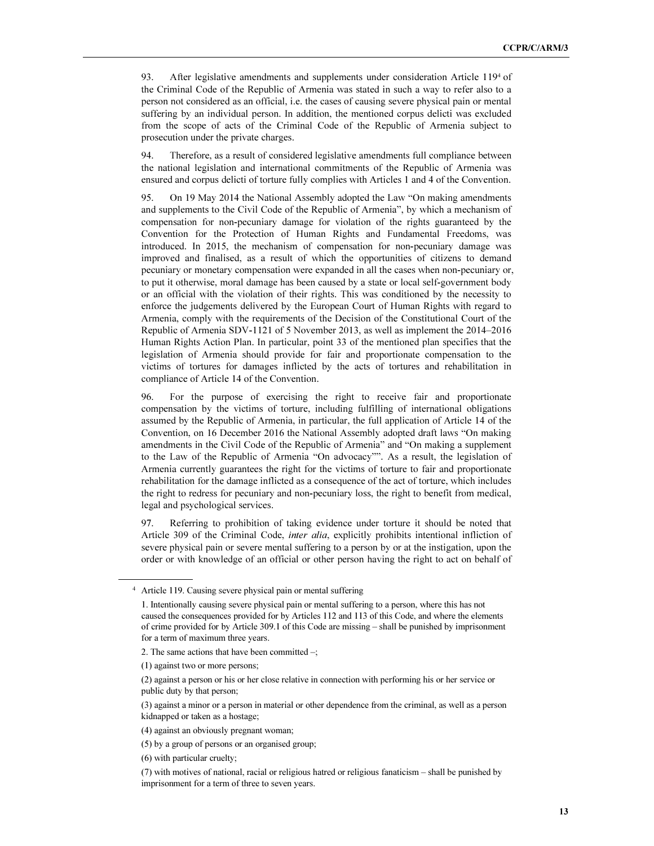93. After legislative amendments and supplements under consideration Article 119<sup>4</sup> of the Criminal Code of the Republic of Armenia was stated in such a way to refer also to a person not considered as an official, i.e. the cases of causing severe physical pain or mental suffering by an individual person. In addition, the mentioned corpus delicti was excluded from the scope of acts of the Criminal Code of the Republic of Armenia subject to prosecution under the private charges.

94. Therefore, as a result of considered legislative amendments full compliance between the national legislation and international commitments of the Republic of Armenia was ensured and corpus delicti of torture fully complies with Articles 1 and 4 of the Convention.

95. On 19 May 2014 the National Assembly adopted the Law "On making amendments and supplements to the Civil Code of the Republic of Armenia", by which a mechanism of compensation for non-pecuniary damage for violation of the rights guaranteed by the Convention for the Protection of Human Rights and Fundamental Freedoms, was introduced. In 2015, the mechanism of compensation for non-pecuniary damage was improved and finalised, as a result of which the opportunities of citizens to demand pecuniary or monetary compensation were expanded in all the cases when non-pecuniary or, to put it otherwise, moral damage has been caused by a state or local self-government body or an official with the violation of their rights. This was conditioned by the necessity to enforce the judgements delivered by the European Court of Human Rights with regard to Armenia, comply with the requirements of the Decision of the Constitutional Court of the Republic of Armenia SDV-1121 of 5 November 2013, as well as implement the 2014–2016 Human Rights Action Plan. In particular, point 33 of the mentioned plan specifies that the legislation of Armenia should provide for fair and proportionate compensation to the victims of tortures for damages inflicted by the acts of tortures and rehabilitation in compliance of Article 14 of the Convention.

96. For the purpose of exercising the right to receive fair and proportionate compensation by the victims of torture, including fulfilling of international obligations assumed by the Republic of Armenia, in particular, the full application of Article 14 of the Convention, on 16 December 2016 the National Assembly adopted draft laws "On making amendments in the Civil Code of the Republic of Armenia" and "On making a supplement to the Law of the Republic of Armenia "On advocacy"". As a result, the legislation of Armenia currently guarantees the right for the victims of torture to fair and proportionate rehabilitation for the damage inflicted as a consequence of the act of torture, which includes the right to redress for pecuniary and non-pecuniary loss, the right to benefit from medical, legal and psychological services.

97. Referring to prohibition of taking evidence under torture it should be noted that Article 309 of the Criminal Code, inter alia, explicitly prohibits intentional infliction of severe physical pain or severe mental suffering to a person by or at the instigation, upon the order or with knowledge of an official or other person having the right to act on behalf of

 $\overline{a}$ 

<sup>4</sup> Article 119. Causing severe physical pain or mental suffering

 <sup>1.</sup> Intentionally causing severe physical pain or mental suffering to a person, where this has not caused the consequences provided for by Articles 112 and 113 of this Code, and where the elements of crime provided for by Article 309.1 of this Code are missing – shall be punished by imprisonment for a term of maximum three years.

 <sup>2.</sup> The same actions that have been committed –;

 <sup>(1)</sup> against two or more persons;

 <sup>(2)</sup> against a person or his or her close relative in connection with performing his or her service or public duty by that person;

 <sup>(3)</sup> against a minor or a person in material or other dependence from the criminal, as well as a person kidnapped or taken as a hostage;

 <sup>(4)</sup> against an obviously pregnant woman;

 <sup>(5)</sup> by a group of persons or an organised group;

 <sup>(6)</sup> with particular cruelty;

 <sup>(7)</sup> with motives of national, racial or religious hatred or religious fanaticism – shall be punished by imprisonment for a term of three to seven years.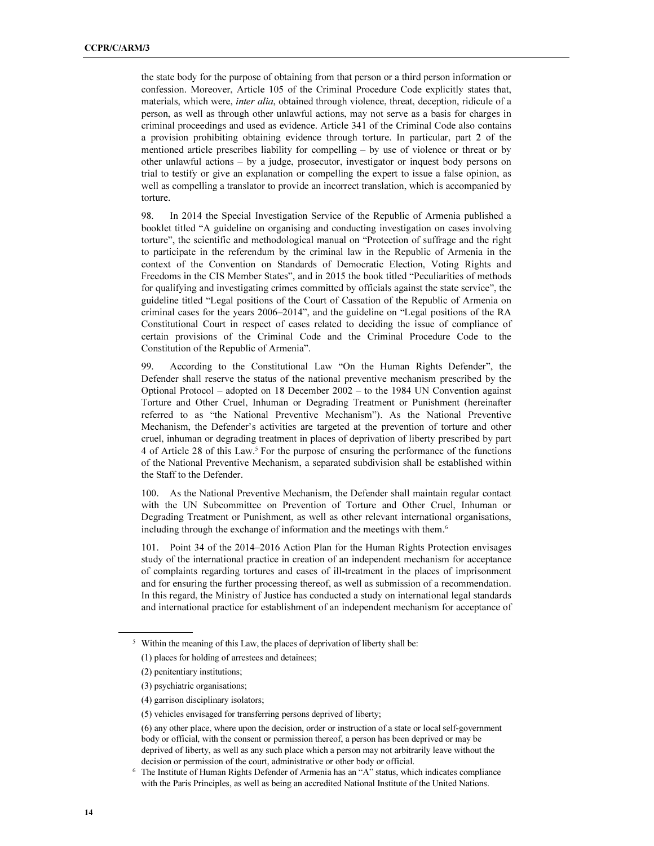the state body for the purpose of obtaining from that person or a third person information or confession. Moreover, Article 105 of the Criminal Procedure Code explicitly states that, materials, which were, *inter alia*, obtained through violence, threat, deception, ridicule of a person, as well as through other unlawful actions, may not serve as a basis for charges in criminal proceedings and used as evidence. Article 341 of the Criminal Code also contains a provision prohibiting obtaining evidence through torture. In particular, part 2 of the mentioned article prescribes liability for compelling – by use of violence or threat or by other unlawful actions – by a judge, prosecutor, investigator or inquest body persons on trial to testify or give an explanation or compelling the expert to issue a false opinion, as well as compelling a translator to provide an incorrect translation, which is accompanied by torture.

98. In 2014 the Special Investigation Service of the Republic of Armenia published a booklet titled "A guideline on organising and conducting investigation on cases involving torture", the scientific and methodological manual on "Protection of suffrage and the right to participate in the referendum by the criminal law in the Republic of Armenia in the context of the Convention on Standards of Democratic Election, Voting Rights and Freedoms in the CIS Member States", and in 2015 the book titled "Peculiarities of methods for qualifying and investigating crimes committed by officials against the state service", the guideline titled "Legal positions of the Court of Cassation of the Republic of Armenia on criminal cases for the years 2006–2014", and the guideline on "Legal positions of the RA Constitutional Court in respect of cases related to deciding the issue of compliance of certain provisions of the Criminal Code and the Criminal Procedure Code to the Constitution of the Republic of Armenia".

99. According to the Constitutional Law "On the Human Rights Defender", the Defender shall reserve the status of the national preventive mechanism prescribed by the Optional Protocol – adopted on 18 December 2002 – to the 1984 UN Convention against Torture and Other Cruel, Inhuman or Degrading Treatment or Punishment (hereinafter referred to as "the National Preventive Mechanism"). As the National Preventive Mechanism, the Defender's activities are targeted at the prevention of torture and other cruel, inhuman or degrading treatment in places of deprivation of liberty prescribed by part 4 of Article 28 of this Law.<sup>5</sup> For the purpose of ensuring the performance of the functions of the National Preventive Mechanism, a separated subdivision shall be established within the Staff to the Defender.

100. As the National Preventive Mechanism, the Defender shall maintain regular contact with the UN Subcommittee on Prevention of Torture and Other Cruel, Inhuman or Degrading Treatment or Punishment, as well as other relevant international organisations, including through the exchange of information and the meetings with them.<sup>6</sup>

101. Point 34 of the 2014–2016 Action Plan for the Human Rights Protection envisages study of the international practice in creation of an independent mechanism for acceptance of complaints regarding tortures and cases of ill-treatment in the places of imprisonment and for ensuring the further processing thereof, as well as submission of a recommendation. In this regard, the Ministry of Justice has conducted a study on international legal standards and international practice for establishment of an independent mechanism for acceptance of

- (3) psychiatric organisations;
- (4) garrison disciplinary isolators;
- (5) vehicles envisaged for transferring persons deprived of liberty;

l

<sup>&</sup>lt;sup>5</sup> Within the meaning of this Law, the places of deprivation of liberty shall be:

 <sup>(1)</sup> places for holding of arrestees and detainees;

 <sup>(2)</sup> penitentiary institutions;

 <sup>(6)</sup> any other place, where upon the decision, order or instruction of a state or local self-government body or official, with the consent or permission thereof, a person has been deprived or may be deprived of liberty, as well as any such place which a person may not arbitrarily leave without the decision or permission of the court, administrative or other body or official.

<sup>&</sup>lt;sup>6</sup> The Institute of Human Rights Defender of Armenia has an "A" status, which indicates compliance with the Paris Principles, as well as being an accredited National Institute of the United Nations.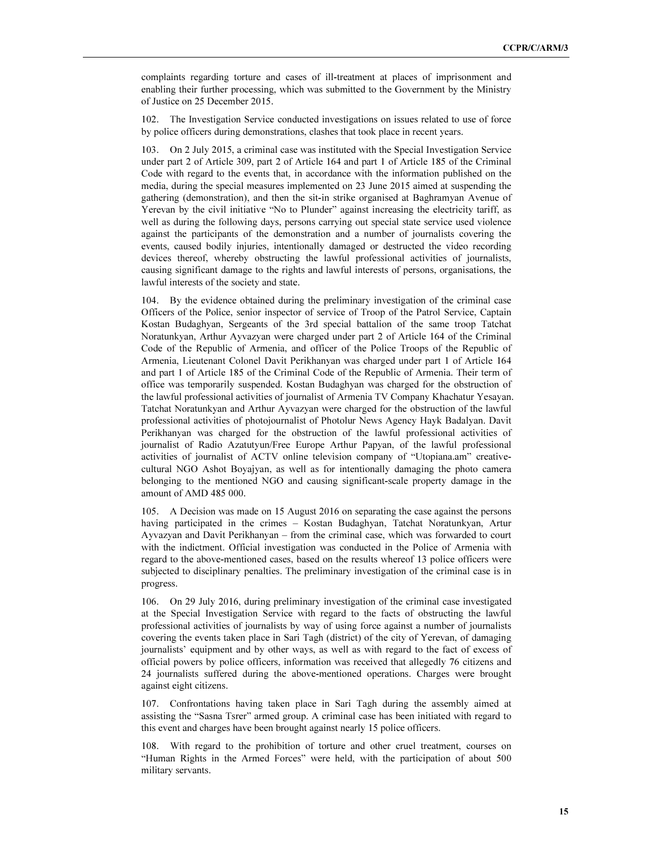complaints regarding torture and cases of ill-treatment at places of imprisonment and enabling their further processing, which was submitted to the Government by the Ministry of Justice on 25 December 2015.

102. The Investigation Service conducted investigations on issues related to use of force by police officers during demonstrations, clashes that took place in recent years.

103. On 2 July 2015, a criminal case was instituted with the Special Investigation Service under part 2 of Article 309, part 2 of Article 164 and part 1 of Article 185 of the Criminal Code with regard to the events that, in accordance with the information published on the media, during the special measures implemented on 23 June 2015 aimed at suspending the gathering (demonstration), and then the sit-in strike organised at Baghramyan Avenue of Yerevan by the civil initiative "No to Plunder" against increasing the electricity tariff, as well as during the following days, persons carrying out special state service used violence against the participants of the demonstration and a number of journalists covering the events, caused bodily injuries, intentionally damaged or destructed the video recording devices thereof, whereby obstructing the lawful professional activities of journalists, causing significant damage to the rights and lawful interests of persons, organisations, the lawful interests of the society and state.

104. By the evidence obtained during the preliminary investigation of the criminal case Officers of the Police, senior inspector of service of Troop of the Patrol Service, Captain Kostan Budaghyan, Sergeants of the 3rd special battalion of the same troop Tatchat Noratunkyan, Arthur Ayvazyan were charged under part 2 of Article 164 of the Criminal Code of the Republic of Armenia, and officer of the Police Troops of the Republic of Armenia, Lieutenant Colonel Davit Perikhanyan was charged under part 1 of Article 164 and part 1 of Article 185 of the Criminal Code of the Republic of Armenia. Their term of office was temporarily suspended. Kostan Budaghyan was charged for the obstruction of the lawful professional activities of journalist of Armenia TV Company Khachatur Yesayan. Tatchat Noratunkyan and Arthur Ayvazyan were charged for the obstruction of the lawful professional activities of photojournalist of Photolur News Agency Hayk Badalyan. Davit Perikhanyan was charged for the obstruction of the lawful professional activities of journalist of Radio Azatutyun/Free Europe Arthur Papyan, of the lawful professional activities of journalist of ACTV online television company of "Utopiana.am" creativecultural NGO Ashot Boyajyan, as well as for intentionally damaging the photo camera belonging to the mentioned NGO and causing significant-scale property damage in the amount of AMD 485 000.

105. A Decision was made on 15 August 2016 on separating the case against the persons having participated in the crimes – Kostan Budaghyan, Tatchat Noratunkyan, Artur Ayvazyan and Davit Perikhanyan – from the criminal case, which was forwarded to court with the indictment. Official investigation was conducted in the Police of Armenia with regard to the above-mentioned cases, based on the results whereof 13 police officers were subjected to disciplinary penalties. The preliminary investigation of the criminal case is in progress.

106. On 29 July 2016, during preliminary investigation of the criminal case investigated at the Special Investigation Service with regard to the facts of obstructing the lawful professional activities of journalists by way of using force against a number of journalists covering the events taken place in Sari Tagh (district) of the city of Yerevan, of damaging journalists' equipment and by other ways, as well as with regard to the fact of excess of official powers by police officers, information was received that allegedly 76 citizens and 24 journalists suffered during the above-mentioned operations. Charges were brought against eight citizens.

107. Confrontations having taken place in Sari Tagh during the assembly aimed at assisting the "Sasna Tsrer" armed group. A criminal case has been initiated with regard to this event and charges have been brought against nearly 15 police officers.

108. With regard to the prohibition of torture and other cruel treatment, courses on "Human Rights in the Armed Forces" were held, with the participation of about 500 military servants.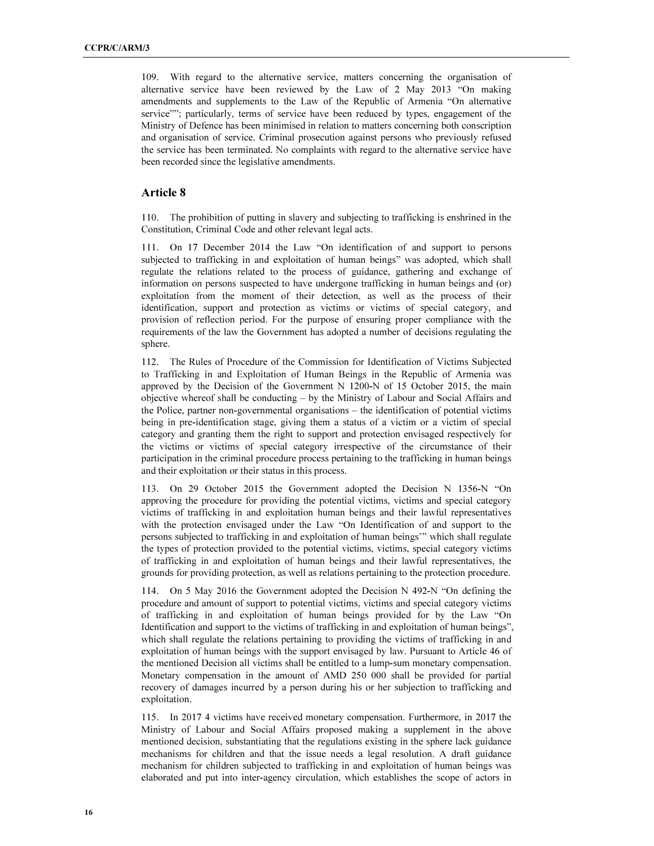109. With regard to the alternative service, matters concerning the organisation of alternative service have been reviewed by the Law of 2 May 2013 "On making amendments and supplements to the Law of the Republic of Armenia "On alternative service""; particularly, terms of service have been reduced by types, engagement of the Ministry of Defence has been minimised in relation to matters concerning both conscription and organisation of service. Criminal prosecution against persons who previously refused the service has been terminated. No complaints with regard to the alternative service have been recorded since the legislative amendments.

#### Article 8

110. The prohibition of putting in slavery and subjecting to trafficking is enshrined in the Constitution, Criminal Code and other relevant legal acts.

111. On 17 December 2014 the Law "On identification of and support to persons subjected to trafficking in and exploitation of human beings" was adopted, which shall regulate the relations related to the process of guidance, gathering and exchange of information on persons suspected to have undergone trafficking in human beings and (or) exploitation from the moment of their detection, as well as the process of their identification, support and protection as victims or victims of special category, and provision of reflection period. For the purpose of ensuring proper compliance with the requirements of the law the Government has adopted a number of decisions regulating the sphere.

112. The Rules of Procedure of the Commission for Identification of Victims Subjected to Trafficking in and Exploitation of Human Beings in the Republic of Armenia was approved by the Decision of the Government N 1200-N of 15 October 2015, the main objective whereof shall be conducting – by the Ministry of Labour and Social Affairs and the Police, partner non-governmental organisations – the identification of potential victims being in pre-identification stage, giving them a status of a victim or a victim of special category and granting them the right to support and protection envisaged respectively for the victims or victims of special category irrespective of the circumstance of their participation in the criminal procedure process pertaining to the trafficking in human beings and their exploitation or their status in this process.

113. On 29 October 2015 the Government adopted the Decision N 1356-N "On approving the procedure for providing the potential victims, victims and special category victims of trafficking in and exploitation human beings and their lawful representatives with the protection envisaged under the Law "On Identification of and support to the persons subjected to trafficking in and exploitation of human beings'" which shall regulate the types of protection provided to the potential victims, victims, special category victims of trafficking in and exploitation of human beings and their lawful representatives, the grounds for providing protection, as well as relations pertaining to the protection procedure.

114. On 5 May 2016 the Government adopted the Decision N 492-N "On defining the procedure and amount of support to potential victims, victims and special category victims of trafficking in and exploitation of human beings provided for by the Law "On Identification and support to the victims of trafficking in and exploitation of human beings", which shall regulate the relations pertaining to providing the victims of trafficking in and exploitation of human beings with the support envisaged by law. Pursuant to Article 46 of the mentioned Decision all victims shall be entitled to a lump-sum monetary compensation. Monetary compensation in the amount of AMD 250 000 shall be provided for partial recovery of damages incurred by a person during his or her subjection to trafficking and exploitation.

115. In 2017 4 victims have received monetary compensation. Furthermore, in 2017 the Ministry of Labour and Social Affairs proposed making a supplement in the above mentioned decision, substantiating that the regulations existing in the sphere lack guidance mechanisms for children and that the issue needs a legal resolution. A draft guidance mechanism for children subjected to trafficking in and exploitation of human beings was elaborated and put into inter-agency circulation, which establishes the scope of actors in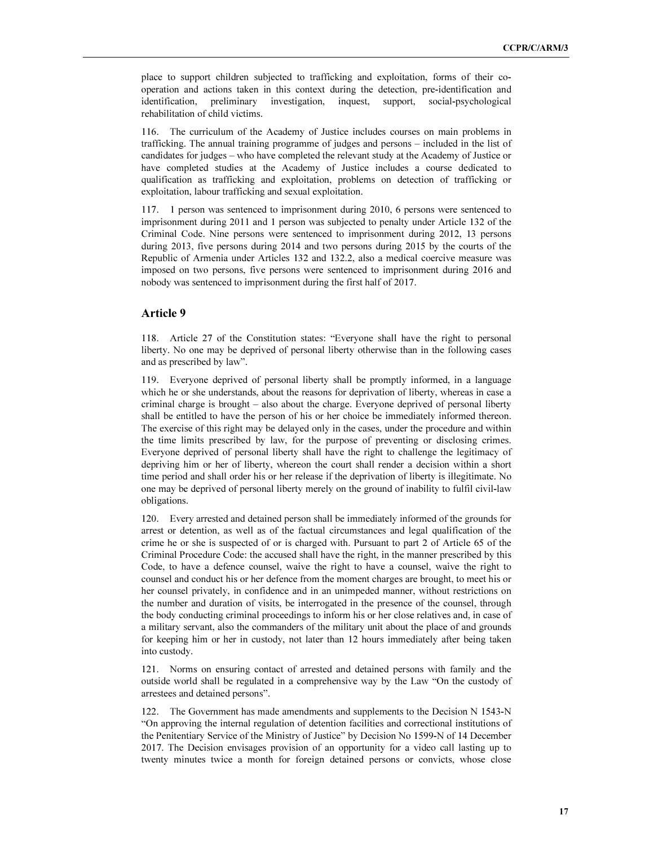place to support children subjected to trafficking and exploitation, forms of their cooperation and actions taken in this context during the detection, pre-identification and identification, preliminary investigation, inquest, support, social-psychological rehabilitation of child victims.

116. The curriculum of the Academy of Justice includes courses on main problems in trafficking. The annual training programme of judges and persons – included in the list of candidates for judges – who have completed the relevant study at the Academy of Justice or have completed studies at the Academy of Justice includes a course dedicated to qualification as trafficking and exploitation, problems on detection of trafficking or exploitation, labour trafficking and sexual exploitation.

117. 1 person was sentenced to imprisonment during 2010, 6 persons were sentenced to imprisonment during 2011 and 1 person was subjected to penalty under Article 132 of the Criminal Code. Nine persons were sentenced to imprisonment during 2012, 13 persons during 2013, five persons during 2014 and two persons during 2015 by the courts of the Republic of Armenia under Articles 132 and 132.2, also a medical coercive measure was imposed on two persons, five persons were sentenced to imprisonment during 2016 and nobody was sentenced to imprisonment during the first half of 2017.

#### Article 9

118. Article 27 of the Constitution states: "Everyone shall have the right to personal liberty. No one may be deprived of personal liberty otherwise than in the following cases and as prescribed by law".

119. Everyone deprived of personal liberty shall be promptly informed, in a language which he or she understands, about the reasons for deprivation of liberty, whereas in case a criminal charge is brought – also about the charge. Everyone deprived of personal liberty shall be entitled to have the person of his or her choice be immediately informed thereon. The exercise of this right may be delayed only in the cases, under the procedure and within the time limits prescribed by law, for the purpose of preventing or disclosing crimes. Everyone deprived of personal liberty shall have the right to challenge the legitimacy of depriving him or her of liberty, whereon the court shall render a decision within a short time period and shall order his or her release if the deprivation of liberty is illegitimate. No one may be deprived of personal liberty merely on the ground of inability to fulfil civil-law obligations.

120. Every arrested and detained person shall be immediately informed of the grounds for arrest or detention, as well as of the factual circumstances and legal qualification of the crime he or she is suspected of or is charged with. Pursuant to part 2 of Article 65 of the Criminal Procedure Code: the accused shall have the right, in the manner prescribed by this Code, to have a defence counsel, waive the right to have a counsel, waive the right to counsel and conduct his or her defence from the moment charges are brought, to meet his or her counsel privately, in confidence and in an unimpeded manner, without restrictions on the number and duration of visits, be interrogated in the presence of the counsel, through the body conducting criminal proceedings to inform his or her close relatives and, in case of a military servant, also the commanders of the military unit about the place of and grounds for keeping him or her in custody, not later than 12 hours immediately after being taken into custody.

121. Norms on ensuring contact of arrested and detained persons with family and the outside world shall be regulated in a comprehensive way by the Law "On the custody of arrestees and detained persons".

122. The Government has made amendments and supplements to the Decision N 1543-N "On approving the internal regulation of detention facilities and correctional institutions of the Penitentiary Service of the Ministry of Justice" by Decision No 1599-N of 14 December 2017. The Decision envisages provision of an opportunity for a video call lasting up to twenty minutes twice a month for foreign detained persons or convicts, whose close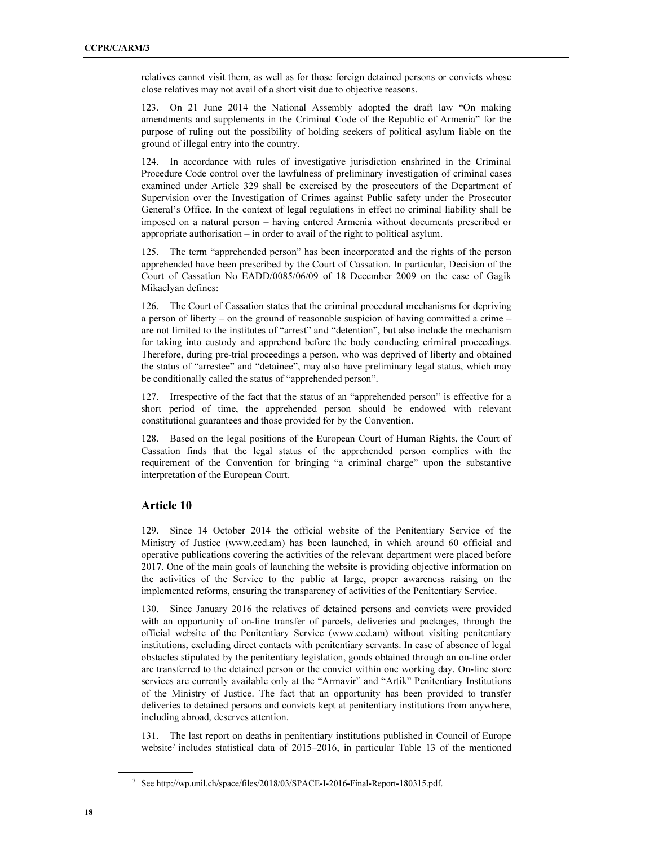relatives cannot visit them, as well as for those foreign detained persons or convicts whose close relatives may not avail of a short visit due to objective reasons.

123. On 21 June 2014 the National Assembly adopted the draft law "On making amendments and supplements in the Criminal Code of the Republic of Armenia" for the purpose of ruling out the possibility of holding seekers of political asylum liable on the ground of illegal entry into the country.

124. In accordance with rules of investigative jurisdiction enshrined in the Criminal Procedure Code control over the lawfulness of preliminary investigation of criminal cases examined under Article 329 shall be exercised by the prosecutors of the Department of Supervision over the Investigation of Crimes against Public safety under the Prosecutor General's Office. In the context of legal regulations in effect no criminal liability shall be imposed on a natural person – having entered Armenia without documents prescribed or appropriate authorisation – in order to avail of the right to political asylum.

125. The term "apprehended person" has been incorporated and the rights of the person apprehended have been prescribed by the Court of Cassation. In particular, Decision of the Court of Cassation No EADD/0085/06/09 of 18 December 2009 on the case of Gagik Mikaelyan defines:

126. The Court of Cassation states that the criminal procedural mechanisms for depriving a person of liberty – on the ground of reasonable suspicion of having committed a crime – are not limited to the institutes of "arrest" and "detention", but also include the mechanism for taking into custody and apprehend before the body conducting criminal proceedings. Therefore, during pre-trial proceedings a person, who was deprived of liberty and obtained the status of "arrestee" and "detainee", may also have preliminary legal status, which may be conditionally called the status of "apprehended person".

127. Irrespective of the fact that the status of an "apprehended person" is effective for a short period of time, the apprehended person should be endowed with relevant constitutional guarantees and those provided for by the Convention.

128. Based on the legal positions of the European Court of Human Rights, the Court of Cassation finds that the legal status of the apprehended person complies with the requirement of the Convention for bringing "a criminal charge" upon the substantive interpretation of the European Court.

#### Article 10

129. Since 14 October 2014 the official website of the Penitentiary Service of the Ministry of Justice (www.ced.am) has been launched, in which around 60 official and operative publications covering the activities of the relevant department were placed before 2017. One of the main goals of launching the website is providing objective information on the activities of the Service to the public at large, proper awareness raising on the implemented reforms, ensuring the transparency of activities of the Penitentiary Service.

130. Since January 2016 the relatives of detained persons and convicts were provided with an opportunity of on-line transfer of parcels, deliveries and packages, through the official website of the Penitentiary Service (www.ced.am) without visiting penitentiary institutions, excluding direct contacts with penitentiary servants. In case of absence of legal obstacles stipulated by the penitentiary legislation, goods obtained through an on-line order are transferred to the detained person or the convict within one working day. On-line store services are currently available only at the "Armavir" and "Artik" Penitentiary Institutions of the Ministry of Justice. The fact that an opportunity has been provided to transfer deliveries to detained persons and convicts kept at penitentiary institutions from anywhere, including abroad, deserves attention.

131. The last report on deaths in penitentiary institutions published in Council of Europe website<sup>7</sup> includes statistical data of 2015–2016, in particular Table 13 of the mentioned

 $\overline{a}$ 

<sup>7</sup> See http://wp.unil.ch/space/files/2018/03/SPACE-I-2016-Final-Report-180315.pdf.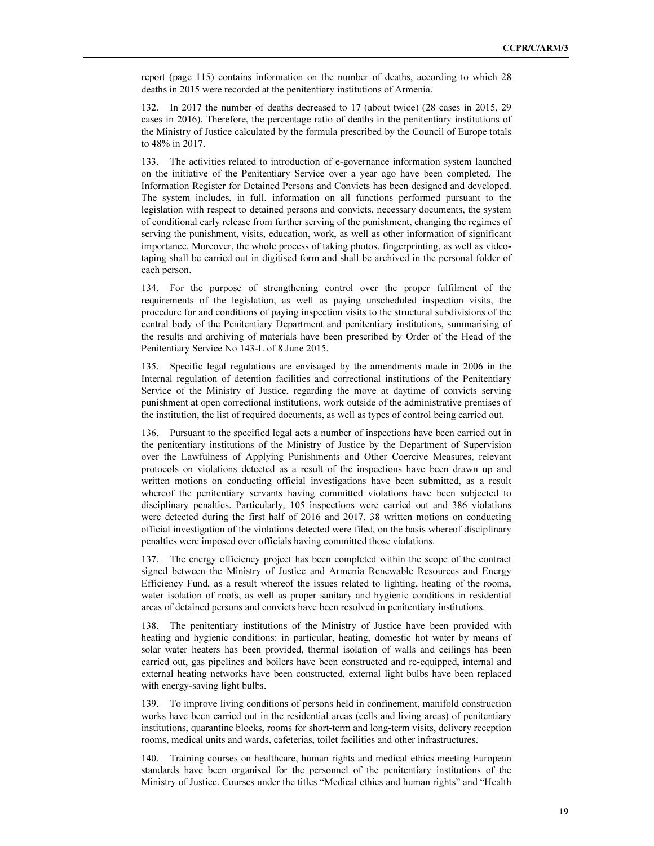report (page 115) contains information on the number of deaths, according to which 28 deaths in 2015 were recorded at the penitentiary institutions of Armenia.

132. In 2017 the number of deaths decreased to 17 (about twice) (28 cases in 2015, 29 cases in 2016). Therefore, the percentage ratio of deaths in the penitentiary institutions of the Ministry of Justice calculated by the formula prescribed by the Council of Europe totals to 48% in 2017.

133. The activities related to introduction of e-governance information system launched on the initiative of the Penitentiary Service over a year ago have been completed. The Information Register for Detained Persons and Convicts has been designed and developed. The system includes, in full, information on all functions performed pursuant to the legislation with respect to detained persons and convicts, necessary documents, the system of conditional early release from further serving of the punishment, changing the regimes of serving the punishment, visits, education, work, as well as other information of significant importance. Moreover, the whole process of taking photos, fingerprinting, as well as videotaping shall be carried out in digitised form and shall be archived in the personal folder of each person.

134. For the purpose of strengthening control over the proper fulfilment of the requirements of the legislation, as well as paying unscheduled inspection visits, the procedure for and conditions of paying inspection visits to the structural subdivisions of the central body of the Penitentiary Department and penitentiary institutions, summarising of the results and archiving of materials have been prescribed by Order of the Head of the Penitentiary Service No 143-L of 8 June 2015.

135. Specific legal regulations are envisaged by the amendments made in 2006 in the Internal regulation of detention facilities and correctional institutions of the Penitentiary Service of the Ministry of Justice, regarding the move at daytime of convicts serving punishment at open correctional institutions, work outside of the administrative premises of the institution, the list of required documents, as well as types of control being carried out.

136. Pursuant to the specified legal acts a number of inspections have been carried out in the penitentiary institutions of the Ministry of Justice by the Department of Supervision over the Lawfulness of Applying Punishments and Other Coercive Measures, relevant protocols on violations detected as a result of the inspections have been drawn up and written motions on conducting official investigations have been submitted, as a result whereof the penitentiary servants having committed violations have been subjected to disciplinary penalties. Particularly, 105 inspections were carried out and 386 violations were detected during the first half of 2016 and 2017. 38 written motions on conducting official investigation of the violations detected were filed, on the basis whereof disciplinary penalties were imposed over officials having committed those violations.

137. The energy efficiency project has been completed within the scope of the contract signed between the Ministry of Justice and Armenia Renewable Resources and Energy Efficiency Fund, as a result whereof the issues related to lighting, heating of the rooms, water isolation of roofs, as well as proper sanitary and hygienic conditions in residential areas of detained persons and convicts have been resolved in penitentiary institutions.

138. The penitentiary institutions of the Ministry of Justice have been provided with heating and hygienic conditions: in particular, heating, domestic hot water by means of solar water heaters has been provided, thermal isolation of walls and ceilings has been carried out, gas pipelines and boilers have been constructed and re-equipped, internal and external heating networks have been constructed, external light bulbs have been replaced with energy-saving light bulbs.

139. To improve living conditions of persons held in confinement, manifold construction works have been carried out in the residential areas (cells and living areas) of penitentiary institutions, quarantine blocks, rooms for short-term and long-term visits, delivery reception rooms, medical units and wards, cafeterias, toilet facilities and other infrastructures.

140. Training courses on healthcare, human rights and medical ethics meeting European standards have been organised for the personnel of the penitentiary institutions of the Ministry of Justice. Courses under the titles "Medical ethics and human rights" and "Health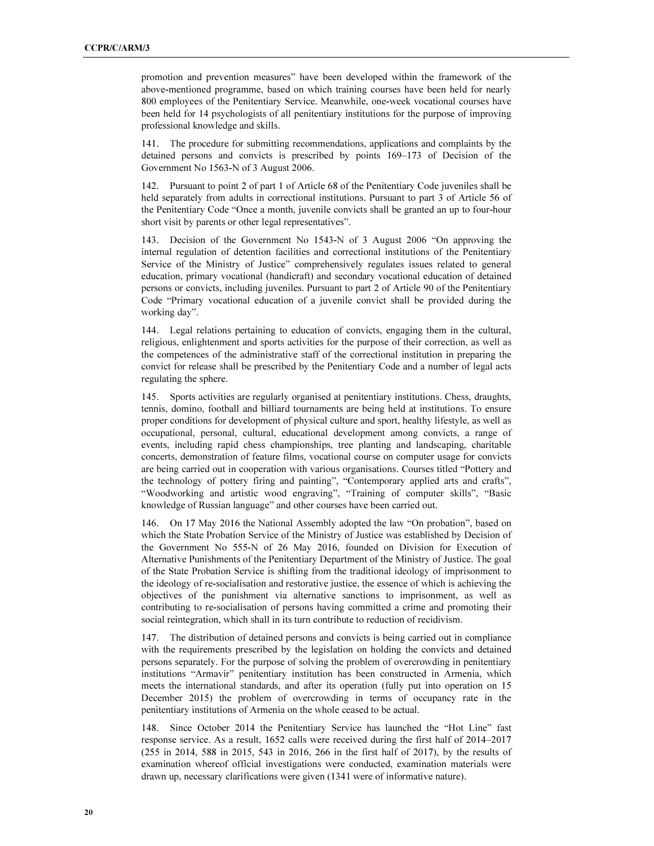promotion and prevention measures" have been developed within the framework of the above-mentioned programme, based on which training courses have been held for nearly 800 employees of the Penitentiary Service. Meanwhile, one-week vocational courses have been held for 14 psychologists of all penitentiary institutions for the purpose of improving professional knowledge and skills.

141. The procedure for submitting recommendations, applications and complaints by the detained persons and convicts is prescribed by points 169–173 of Decision of the Government No 1563-N of 3 August 2006.

142. Pursuant to point 2 of part 1 of Article 68 of the Penitentiary Code juveniles shall be held separately from adults in correctional institutions. Pursuant to part 3 of Article 56 of the Penitentiary Code "Once a month, juvenile convicts shall be granted an up to four-hour short visit by parents or other legal representatives".

143. Decision of the Government No 1543-N of 3 August 2006 "On approving the internal regulation of detention facilities and correctional institutions of the Penitentiary Service of the Ministry of Justice" comprehensively regulates issues related to general education, primary vocational (handicraft) and secondary vocational education of detained persons or convicts, including juveniles. Pursuant to part 2 of Article 90 of the Penitentiary Code "Primary vocational education of a juvenile convict shall be provided during the working day".

144. Legal relations pertaining to education of convicts, engaging them in the cultural, religious, enlightenment and sports activities for the purpose of their correction, as well as the competences of the administrative staff of the correctional institution in preparing the convict for release shall be prescribed by the Penitentiary Code and a number of legal acts regulating the sphere.

145. Sports activities are regularly organised at penitentiary institutions. Chess, draughts, tennis, domino, football and billiard tournaments are being held at institutions. To ensure proper conditions for development of physical culture and sport, healthy lifestyle, as well as occupational, personal, cultural, educational development among convicts, a range of events, including rapid chess championships, tree planting and landscaping, charitable concerts, demonstration of feature films, vocational course on computer usage for convicts are being carried out in cooperation with various organisations. Courses titled "Pottery and the technology of pottery firing and painting", "Contemporary applied arts and crafts", "Woodworking and artistic wood engraving", "Training of computer skills", "Basic knowledge of Russian language" and other courses have been carried out.

146. On 17 May 2016 the National Assembly adopted the law "On probation", based on which the State Probation Service of the Ministry of Justice was established by Decision of the Government No 555-N of 26 May 2016, founded on Division for Execution of Alternative Punishments of the Penitentiary Department of the Ministry of Justice. The goal of the State Probation Service is shifting from the traditional ideology of imprisonment to the ideology of re-socialisation and restorative justice, the essence of which is achieving the objectives of the punishment via alternative sanctions to imprisonment, as well as contributing to re-socialisation of persons having committed a crime and promoting their social reintegration, which shall in its turn contribute to reduction of recidivism.

147. The distribution of detained persons and convicts is being carried out in compliance with the requirements prescribed by the legislation on holding the convicts and detained persons separately. For the purpose of solving the problem of overcrowding in penitentiary institutions "Armavir" penitentiary institution has been constructed in Armenia, which meets the international standards, and after its operation (fully put into operation on 15 December 2015) the problem of overcrowding in terms of occupancy rate in the penitentiary institutions of Armenia on the whole ceased to be actual.

148. Since October 2014 the Penitentiary Service has launched the "Hot Line" fast response service. As a result, 1652 calls were received during the first half of 2014–2017 (255 in 2014, 588 in 2015, 543 in 2016, 266 in the first half of 2017), by the results of examination whereof official investigations were conducted, examination materials were drawn up, necessary clarifications were given (1341 were of informative nature).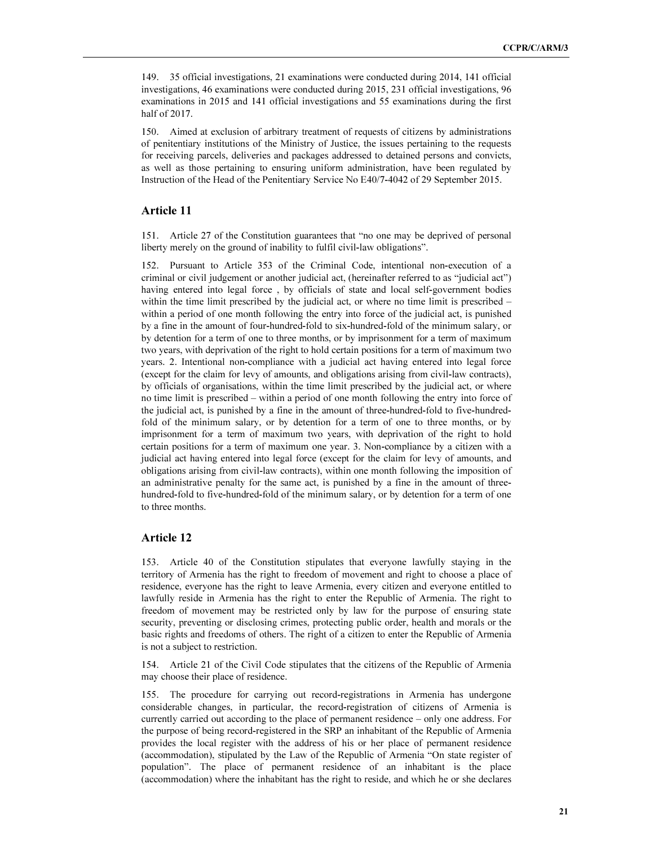149. 35 official investigations, 21 examinations were conducted during 2014, 141 official investigations, 46 examinations were conducted during 2015, 231 official investigations, 96 examinations in 2015 and 141 official investigations and 55 examinations during the first half of 2017.

150. Aimed at exclusion of arbitrary treatment of requests of citizens by administrations of penitentiary institutions of the Ministry of Justice, the issues pertaining to the requests for receiving parcels, deliveries and packages addressed to detained persons and convicts, as well as those pertaining to ensuring uniform administration, have been regulated by Instruction of the Head of the Penitentiary Service No E40/7-4042 of 29 September 2015.

### Article 11

151. Article 27 of the Constitution guarantees that "no one may be deprived of personal liberty merely on the ground of inability to fulfil civil-law obligations".

152. Pursuant to Article 353 of the Criminal Code, intentional non-execution of a criminal or civil judgement or another judicial act, (hereinafter referred to as "judicial act") having entered into legal force , by officials of state and local self-government bodies within the time limit prescribed by the judicial act, or where no time limit is prescribed – within a period of one month following the entry into force of the judicial act, is punished by a fine in the amount of four-hundred-fold to six-hundred-fold of the minimum salary, or by detention for a term of one to three months, or by imprisonment for a term of maximum two years, with deprivation of the right to hold certain positions for a term of maximum two years. 2. Intentional non-compliance with a judicial act having entered into legal force (except for the claim for levy of amounts, and obligations arising from civil-law contracts), by officials of organisations, within the time limit prescribed by the judicial act, or where no time limit is prescribed – within a period of one month following the entry into force of the judicial act, is punished by a fine in the amount of three-hundred-fold to five-hundredfold of the minimum salary, or by detention for a term of one to three months, or by imprisonment for a term of maximum two years, with deprivation of the right to hold certain positions for a term of maximum one year. 3. Non-compliance by a citizen with a judicial act having entered into legal force (except for the claim for levy of amounts, and obligations arising from civil-law contracts), within one month following the imposition of an administrative penalty for the same act, is punished by a fine in the amount of threehundred-fold to five-hundred-fold of the minimum salary, or by detention for a term of one to three months.

#### Article 12

153. Article 40 of the Constitution stipulates that everyone lawfully staying in the territory of Armenia has the right to freedom of movement and right to choose a place of residence, everyone has the right to leave Armenia, every citizen and everyone entitled to lawfully reside in Armenia has the right to enter the Republic of Armenia. The right to freedom of movement may be restricted only by law for the purpose of ensuring state security, preventing or disclosing crimes, protecting public order, health and morals or the basic rights and freedoms of others. The right of a citizen to enter the Republic of Armenia is not a subject to restriction.

154. Article 21 of the Civil Code stipulates that the citizens of the Republic of Armenia may choose their place of residence.

155. The procedure for carrying out record-registrations in Armenia has undergone considerable changes, in particular, the record-registration of citizens of Armenia is currently carried out according to the place of permanent residence – only one address. For the purpose of being record-registered in the SRP an inhabitant of the Republic of Armenia provides the local register with the address of his or her place of permanent residence (accommodation), stipulated by the Law of the Republic of Armenia "On state register of population". The place of permanent residence of an inhabitant is the place (accommodation) where the inhabitant has the right to reside, and which he or she declares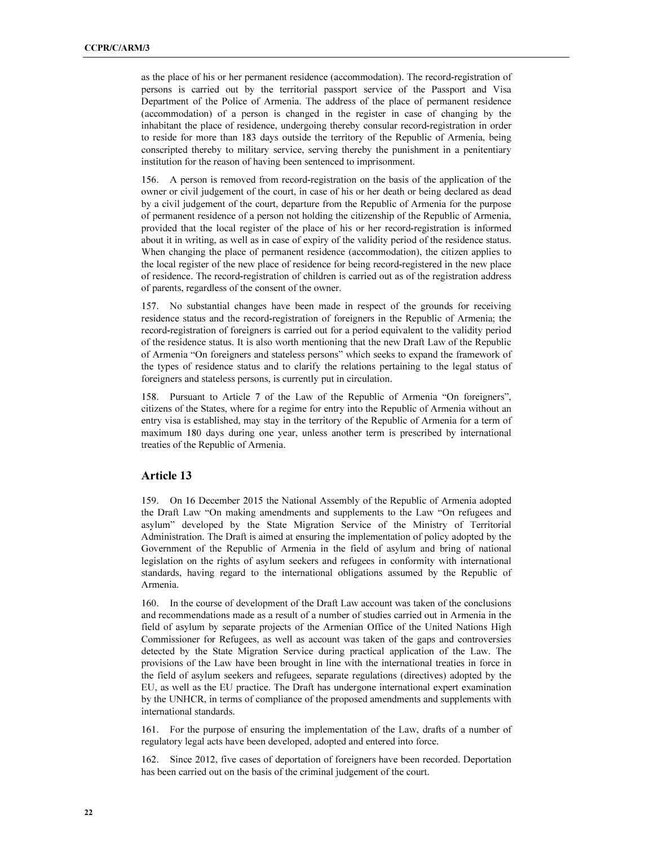as the place of his or her permanent residence (accommodation). The record-registration of persons is carried out by the territorial passport service of the Passport and Visa Department of the Police of Armenia. The address of the place of permanent residence (accommodation) of a person is changed in the register in case of changing by the inhabitant the place of residence, undergoing thereby consular record-registration in order to reside for more than 183 days outside the territory of the Republic of Armenia, being conscripted thereby to military service, serving thereby the punishment in a penitentiary institution for the reason of having been sentenced to imprisonment.

156. A person is removed from record-registration on the basis of the application of the owner or civil judgement of the court, in case of his or her death or being declared as dead by a civil judgement of the court, departure from the Republic of Armenia for the purpose of permanent residence of a person not holding the citizenship of the Republic of Armenia, provided that the local register of the place of his or her record-registration is informed about it in writing, as well as in case of expiry of the validity period of the residence status. When changing the place of permanent residence (accommodation), the citizen applies to the local register of the new place of residence for being record-registered in the new place of residence. The record-registration of children is carried out as of the registration address of parents, regardless of the consent of the owner.

157. No substantial changes have been made in respect of the grounds for receiving residence status and the record-registration of foreigners in the Republic of Armenia; the record-registration of foreigners is carried out for a period equivalent to the validity period of the residence status. It is also worth mentioning that the new Draft Law of the Republic of Armenia "On foreigners and stateless persons" which seeks to expand the framework of the types of residence status and to clarify the relations pertaining to the legal status of foreigners and stateless persons, is currently put in circulation.

158. Pursuant to Article 7 of the Law of the Republic of Armenia "On foreigners", citizens of the States, where for a regime for entry into the Republic of Armenia without an entry visa is established, may stay in the territory of the Republic of Armenia for a term of maximum 180 days during one year, unless another term is prescribed by international treaties of the Republic of Armenia.

#### Article 13

159. On 16 December 2015 the National Assembly of the Republic of Armenia adopted the Draft Law "On making amendments and supplements to the Law "On refugees and asylum" developed by the State Migration Service of the Ministry of Territorial Administration. The Draft is aimed at ensuring the implementation of policy adopted by the Government of the Republic of Armenia in the field of asylum and bring of national legislation on the rights of asylum seekers and refugees in conformity with international standards, having regard to the international obligations assumed by the Republic of Armenia.

160. In the course of development of the Draft Law account was taken of the conclusions and recommendations made as a result of a number of studies carried out in Armenia in the field of asylum by separate projects of the Armenian Office of the United Nations High Commissioner for Refugees, as well as account was taken of the gaps and controversies detected by the State Migration Service during practical application of the Law. The provisions of the Law have been brought in line with the international treaties in force in the field of asylum seekers and refugees, separate regulations (directives) adopted by the EU, as well as the EU practice. The Draft has undergone international expert examination by the UNHCR, in terms of compliance of the proposed amendments and supplements with international standards.

161. For the purpose of ensuring the implementation of the Law, drafts of a number of regulatory legal acts have been developed, adopted and entered into force.

162. Since 2012, five cases of deportation of foreigners have been recorded. Deportation has been carried out on the basis of the criminal judgement of the court.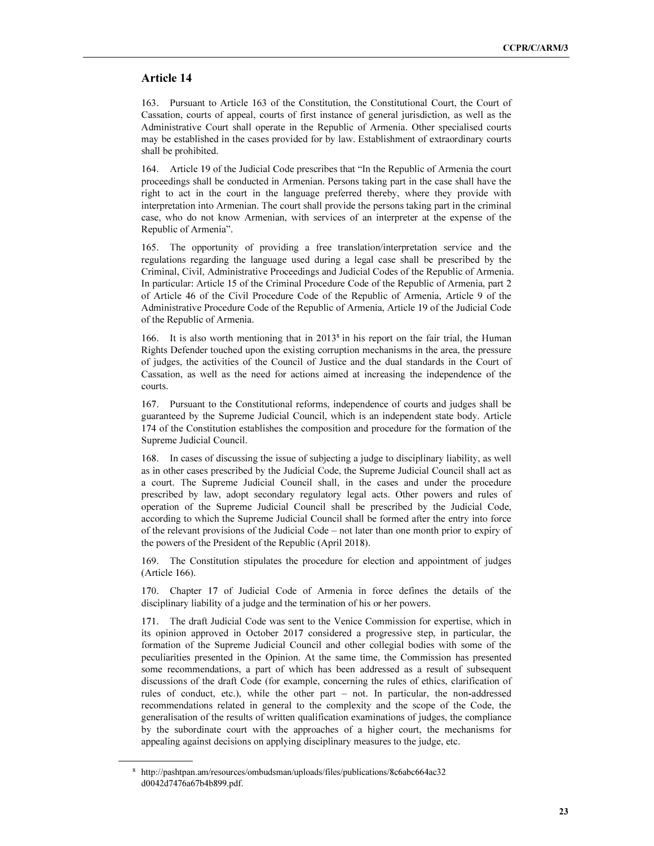#### Article 14

163. Pursuant to Article 163 of the Constitution, the Constitutional Court, the Court of Cassation, courts of appeal, courts of first instance of general jurisdiction, as well as the Administrative Court shall operate in the Republic of Armenia. Other specialised courts may be established in the cases provided for by law. Establishment of extraordinary courts shall be prohibited.

164. Article 19 of the Judicial Code prescribes that "In the Republic of Armenia the court proceedings shall be conducted in Armenian. Persons taking part in the case shall have the right to act in the court in the language preferred thereby, where they provide with interpretation into Armenian. The court shall provide the persons taking part in the criminal case, who do not know Armenian, with services of an interpreter at the expense of the Republic of Armenia".

165. The opportunity of providing a free translation/interpretation service and the regulations regarding the language used during a legal case shall be prescribed by the Criminal, Civil, Administrative Proceedings and Judicial Codes of the Republic of Armenia. In particular: Article 15 of the Criminal Procedure Code of the Republic of Armenia, part 2 of Article 46 of the Civil Procedure Code of the Republic of Armenia, Article 9 of the Administrative Procedure Code of the Republic of Armenia, Article 19 of the Judicial Code of the Republic of Armenia.

166. It is also worth mentioning that in 2013<sup>8</sup> in his report on the fair trial, the Human Rights Defender touched upon the existing corruption mechanisms in the area, the pressure of judges, the activities of the Council of Justice and the dual standards in the Court of Cassation, as well as the need for actions aimed at increasing the independence of the courts.

167. Pursuant to the Constitutional reforms, independence of courts and judges shall be guaranteed by the Supreme Judicial Council, which is an independent state body. Article 174 of the Constitution establishes the composition and procedure for the formation of the Supreme Judicial Council.

168. In cases of discussing the issue of subjecting a judge to disciplinary liability, as well as in other cases prescribed by the Judicial Code, the Supreme Judicial Council shall act as a court. The Supreme Judicial Council shall, in the cases and under the procedure prescribed by law, adopt secondary regulatory legal acts. Other powers and rules of operation of the Supreme Judicial Council shall be prescribed by the Judicial Code, according to which the Supreme Judicial Council shall be formed after the entry into force of the relevant provisions of the Judicial Code – not later than one month prior to expiry of the powers of the President of the Republic (April 2018).

169. The Constitution stipulates the procedure for election and appointment of judges (Article 166).

170. Chapter 17 of Judicial Code of Armenia in force defines the details of the disciplinary liability of a judge and the termination of his or her powers.

171. The draft Judicial Code was sent to the Venice Commission for expertise, which in its opinion approved in October 2017 considered a progressive step, in particular, the formation of the Supreme Judicial Council and other collegial bodies with some of the peculiarities presented in the Opinion. At the same time, the Commission has presented some recommendations, a part of which has been addressed as a result of subsequent discussions of the draft Code (for example, concerning the rules of ethics, clarification of rules of conduct, etc.), while the other part – not. In particular, the non-addressed recommendations related in general to the complexity and the scope of the Code, the generalisation of the results of written qualification examinations of judges, the compliance by the subordinate court with the approaches of a higher court, the mechanisms for appealing against decisions on applying disciplinary measures to the judge, etc.

 $\overline{a}$ 

<sup>8</sup> http://pashtpan.am/resources/ombudsman/uploads/files/publications/8c6abc664ac32 d0042d7476a67b4b899.pdf.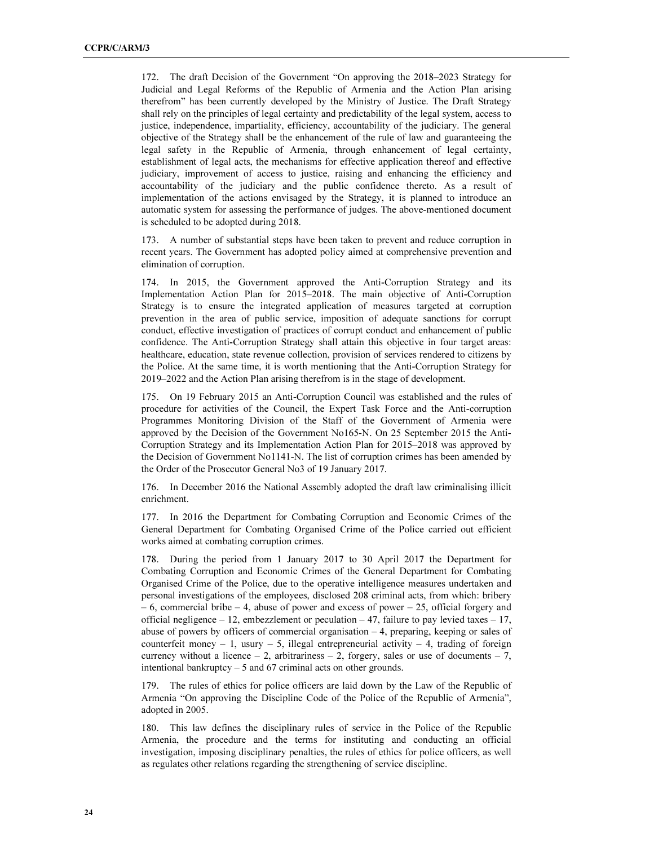172. The draft Decision of the Government "On approving the 2018–2023 Strategy for Judicial and Legal Reforms of the Republic of Armenia and the Action Plan arising therefrom" has been currently developed by the Ministry of Justice. The Draft Strategy shall rely on the principles of legal certainty and predictability of the legal system, access to justice, independence, impartiality, efficiency, accountability of the judiciary. The general objective of the Strategy shall be the enhancement of the rule of law and guaranteeing the legal safety in the Republic of Armenia, through enhancement of legal certainty, establishment of legal acts, the mechanisms for effective application thereof and effective judiciary, improvement of access to justice, raising and enhancing the efficiency and accountability of the judiciary and the public confidence thereto. As a result of implementation of the actions envisaged by the Strategy, it is planned to introduce an automatic system for assessing the performance of judges. The above-mentioned document is scheduled to be adopted during 2018.

173. A number of substantial steps have been taken to prevent and reduce corruption in recent years. The Government has adopted policy aimed at comprehensive prevention and elimination of corruption.

174. In 2015, the Government approved the Anti-Corruption Strategy and its Implementation Action Plan for 2015–2018. The main objective of Anti-Corruption Strategy is to ensure the integrated application of measures targeted at corruption prevention in the area of public service, imposition of adequate sanctions for corrupt conduct, effective investigation of practices of corrupt conduct and enhancement of public confidence. The Anti-Corruption Strategy shall attain this objective in four target areas: healthcare, education, state revenue collection, provision of services rendered to citizens by the Police. At the same time, it is worth mentioning that the Anti-Corruption Strategy for 2019–2022 and the Action Plan arising therefrom is in the stage of development.

175. On 19 February 2015 an Anti-Corruption Council was established and the rules of procedure for activities of the Council, the Expert Task Force and the Anti-corruption Programmes Monitoring Division of the Staff of the Government of Armenia were approved by the Decision of the Government No165-N. On 25 September 2015 the Anti-Corruption Strategy and its Implementation Action Plan for 2015–2018 was approved by the Decision of Government No1141-N. The list of corruption crimes has been amended by the Order of the Prosecutor General No3 of 19 January 2017.

176. In December 2016 the National Assembly adopted the draft law criminalising illicit enrichment.

177. In 2016 the Department for Combating Corruption and Economic Crimes of the General Department for Combating Organised Crime of the Police carried out efficient works aimed at combating corruption crimes.

178. During the period from 1 January 2017 to 30 April 2017 the Department for Combating Corruption and Economic Crimes of the General Department for Combating Organised Crime of the Police, due to the operative intelligence measures undertaken and personal investigations of the employees, disclosed 208 criminal acts, from which: bribery  $-6$ , commercial bribe  $-4$ , abuse of power and excess of power  $-25$ , official forgery and official negligence – 12, embezzlement or peculation – 47, failure to pay levied taxes – 17, abuse of powers by officers of commercial organisation – 4, preparing, keeping or sales of counterfeit money  $-1$ , usury  $-5$ , illegal entrepreneurial activity  $-4$ , trading of foreign currency without a licence  $-2$ , arbitrariness  $-2$ , forgery, sales or use of documents  $-7$ , intentional bankruptcy  $-5$  and 67 criminal acts on other grounds.

179. The rules of ethics for police officers are laid down by the Law of the Republic of Armenia "On approving the Discipline Code of the Police of the Republic of Armenia", adopted in 2005.

180. This law defines the disciplinary rules of service in the Police of the Republic Armenia, the procedure and the terms for instituting and conducting an official investigation, imposing disciplinary penalties, the rules of ethics for police officers, as well as regulates other relations regarding the strengthening of service discipline.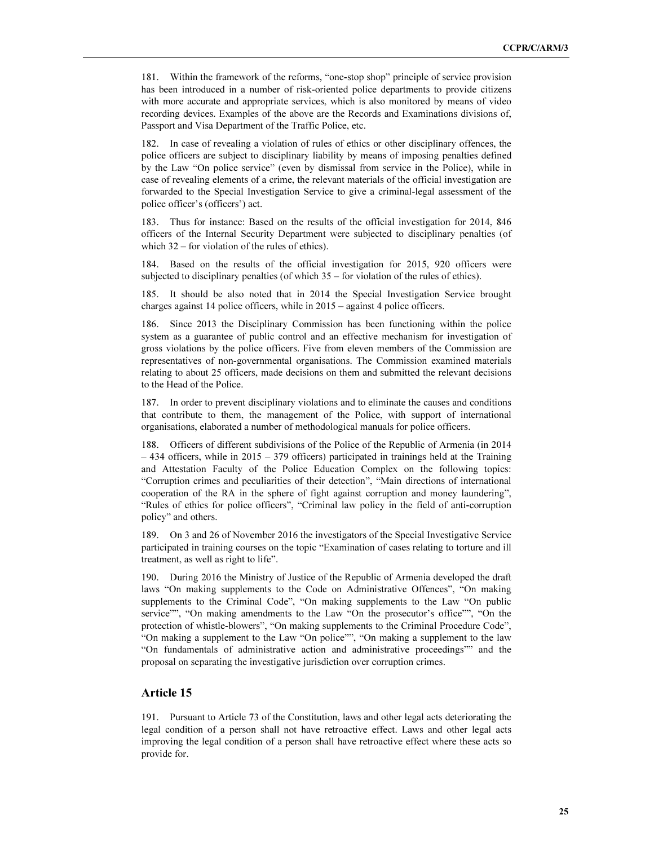181. Within the framework of the reforms, "one-stop shop" principle of service provision has been introduced in a number of risk-oriented police departments to provide citizens with more accurate and appropriate services, which is also monitored by means of video recording devices. Examples of the above are the Records and Examinations divisions of, Passport and Visa Department of the Traffic Police, etc.

182. In case of revealing a violation of rules of ethics or other disciplinary offences, the police officers are subject to disciplinary liability by means of imposing penalties defined by the Law "On police service" (even by dismissal from service in the Police), while in case of revealing elements of a crime, the relevant materials of the official investigation are forwarded to the Special Investigation Service to give a criminal-legal assessment of the police officer's (officers') act.

183. Thus for instance: Based on the results of the official investigation for 2014, 846 officers of the Internal Security Department were subjected to disciplinary penalties (of which 32 – for violation of the rules of ethics).

184. Based on the results of the official investigation for 2015, 920 officers were subjected to disciplinary penalties (of which 35 – for violation of the rules of ethics).

185. It should be also noted that in 2014 the Special Investigation Service brought charges against 14 police officers, while in 2015 – against 4 police officers.

186. Since 2013 the Disciplinary Commission has been functioning within the police system as a guarantee of public control and an effective mechanism for investigation of gross violations by the police officers. Five from eleven members of the Commission are representatives of non-governmental organisations. The Commission examined materials relating to about 25 officers, made decisions on them and submitted the relevant decisions to the Head of the Police.

187. In order to prevent disciplinary violations and to eliminate the causes and conditions that contribute to them, the management of the Police, with support of international organisations, elaborated a number of methodological manuals for police officers.

188. Officers of different subdivisions of the Police of the Republic of Armenia (in 2014  $-434$  officers, while in 2015 – 379 officers) participated in trainings held at the Training and Attestation Faculty of the Police Education Complex on the following topics: "Corruption crimes and peculiarities of their detection", "Main directions of international cooperation of the RA in the sphere of fight against corruption and money laundering", "Rules of ethics for police officers", "Criminal law policy in the field of anti-corruption policy" and others.

189. On 3 and 26 of November 2016 the investigators of the Special Investigative Service participated in training courses on the topic "Examination of cases relating to torture and ill treatment, as well as right to life".

190. During 2016 the Ministry of Justice of the Republic of Armenia developed the draft laws "On making supplements to the Code on Administrative Offences", "On making supplements to the Criminal Code", "On making supplements to the Law "On public service"", "On making amendments to the Law "On the prosecutor's office"", "On the protection of whistle-blowers", "On making supplements to the Criminal Procedure Code", "On making a supplement to the Law "On police"", "On making a supplement to the law "On fundamentals of administrative action and administrative proceedings"" and the proposal on separating the investigative jurisdiction over corruption crimes.

### Article 15

191. Pursuant to Article 73 of the Constitution, laws and other legal acts deteriorating the legal condition of a person shall not have retroactive effect. Laws and other legal acts improving the legal condition of a person shall have retroactive effect where these acts so provide for.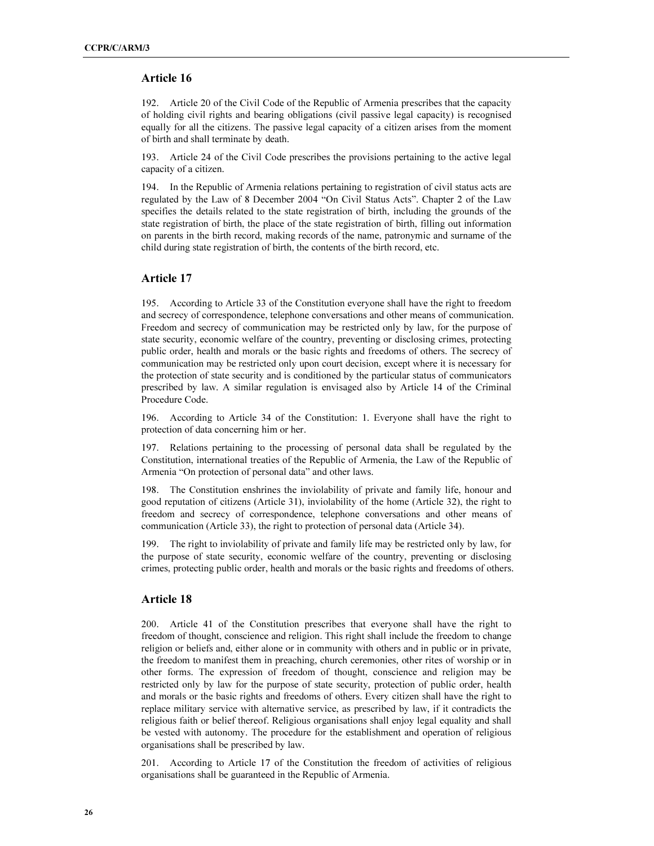#### Article 16

192. Article 20 of the Civil Code of the Republic of Armenia prescribes that the capacity of holding civil rights and bearing obligations (civil passive legal capacity) is recognised equally for all the citizens. The passive legal capacity of a citizen arises from the moment of birth and shall terminate by death.

193. Article 24 of the Civil Code prescribes the provisions pertaining to the active legal capacity of a citizen.

194. In the Republic of Armenia relations pertaining to registration of civil status acts are regulated by the Law of 8 December 2004 "On Civil Status Acts". Chapter 2 of the Law specifies the details related to the state registration of birth, including the grounds of the state registration of birth, the place of the state registration of birth, filling out information on parents in the birth record, making records of the name, patronymic and surname of the child during state registration of birth, the contents of the birth record, etc.

#### Article 17

195. According to Article 33 of the Constitution everyone shall have the right to freedom and secrecy of correspondence, telephone conversations and other means of communication. Freedom and secrecy of communication may be restricted only by law, for the purpose of state security, economic welfare of the country, preventing or disclosing crimes, protecting public order, health and morals or the basic rights and freedoms of others. The secrecy of communication may be restricted only upon court decision, except where it is necessary for the protection of state security and is conditioned by the particular status of communicators prescribed by law. A similar regulation is envisaged also by Article 14 of the Criminal Procedure Code.

196. According to Article 34 of the Constitution: 1. Everyone shall have the right to protection of data concerning him or her.

197. Relations pertaining to the processing of personal data shall be regulated by the Constitution, international treaties of the Republic of Armenia, the Law of the Republic of Armenia "On protection of personal data" and other laws.

198. The Constitution enshrines the inviolability of private and family life, honour and good reputation of citizens (Article 31), inviolability of the home (Article 32), the right to freedom and secrecy of correspondence, telephone conversations and other means of communication (Article 33), the right to protection of personal data (Article 34).

199. The right to inviolability of private and family life may be restricted only by law, for the purpose of state security, economic welfare of the country, preventing or disclosing crimes, protecting public order, health and morals or the basic rights and freedoms of others.

## Article 18

200. Article 41 of the Constitution prescribes that everyone shall have the right to freedom of thought, conscience and religion. This right shall include the freedom to change religion or beliefs and, either alone or in community with others and in public or in private, the freedom to manifest them in preaching, church ceremonies, other rites of worship or in other forms. The expression of freedom of thought, conscience and religion may be restricted only by law for the purpose of state security, protection of public order, health and morals or the basic rights and freedoms of others. Every citizen shall have the right to replace military service with alternative service, as prescribed by law, if it contradicts the religious faith or belief thereof. Religious organisations shall enjoy legal equality and shall be vested with autonomy. The procedure for the establishment and operation of religious organisations shall be prescribed by law.

201. According to Article 17 of the Constitution the freedom of activities of religious organisations shall be guaranteed in the Republic of Armenia.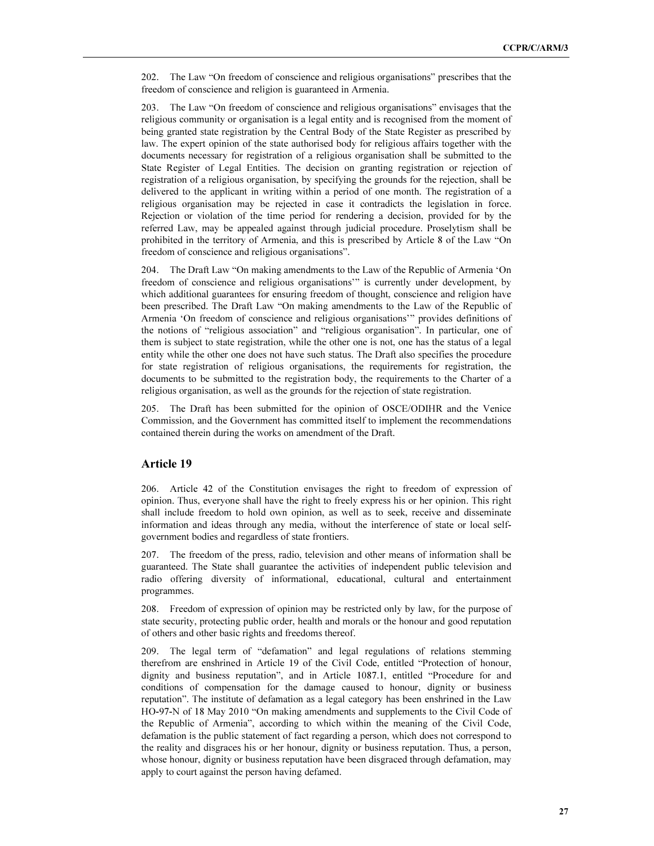202. The Law "On freedom of conscience and religious organisations" prescribes that the freedom of conscience and religion is guaranteed in Armenia.

203. The Law "On freedom of conscience and religious organisations" envisages that the religious community or organisation is a legal entity and is recognised from the moment of being granted state registration by the Central Body of the State Register as prescribed by law. The expert opinion of the state authorised body for religious affairs together with the documents necessary for registration of a religious organisation shall be submitted to the State Register of Legal Entities. The decision on granting registration or rejection of registration of a religious organisation, by specifying the grounds for the rejection, shall be delivered to the applicant in writing within a period of one month. The registration of a religious organisation may be rejected in case it contradicts the legislation in force. Rejection or violation of the time period for rendering a decision, provided for by the referred Law, may be appealed against through judicial procedure. Proselytism shall be prohibited in the territory of Armenia, and this is prescribed by Article 8 of the Law "On freedom of conscience and religious organisations".

204. The Draft Law "On making amendments to the Law of the Republic of Armenia 'On freedom of conscience and religious organisations'" is currently under development, by which additional guarantees for ensuring freedom of thought, conscience and religion have been prescribed. The Draft Law "On making amendments to the Law of the Republic of Armenia 'On freedom of conscience and religious organisations'" provides definitions of the notions of "religious association" and "religious organisation". In particular, one of them is subject to state registration, while the other one is not, one has the status of a legal entity while the other one does not have such status. The Draft also specifies the procedure for state registration of religious organisations, the requirements for registration, the documents to be submitted to the registration body, the requirements to the Charter of a religious organisation, as well as the grounds for the rejection of state registration.

205. The Draft has been submitted for the opinion of OSCE/ODIHR and the Venice Commission, and the Government has committed itself to implement the recommendations contained therein during the works on amendment of the Draft.

## Article 19

206. Article 42 of the Constitution envisages the right to freedom of expression of opinion. Thus, everyone shall have the right to freely express his or her opinion. This right shall include freedom to hold own opinion, as well as to seek, receive and disseminate information and ideas through any media, without the interference of state or local selfgovernment bodies and regardless of state frontiers.

207. The freedom of the press, radio, television and other means of information shall be guaranteed. The State shall guarantee the activities of independent public television and radio offering diversity of informational, educational, cultural and entertainment programmes.

208. Freedom of expression of opinion may be restricted only by law, for the purpose of state security, protecting public order, health and morals or the honour and good reputation of others and other basic rights and freedoms thereof.

209. The legal term of "defamation" and legal regulations of relations stemming therefrom are enshrined in Article 19 of the Civil Code, entitled "Protection of honour, dignity and business reputation", and in Article 1087.1, entitled "Procedure for and conditions of compensation for the damage caused to honour, dignity or business reputation". The institute of defamation as a legal category has been enshrined in the Law HO-97-N of 18 May 2010 "On making amendments and supplements to the Civil Code of the Republic of Armenia", according to which within the meaning of the Civil Code, defamation is the public statement of fact regarding a person, which does not correspond to the reality and disgraces his or her honour, dignity or business reputation. Thus, a person, whose honour, dignity or business reputation have been disgraced through defamation, may apply to court against the person having defamed.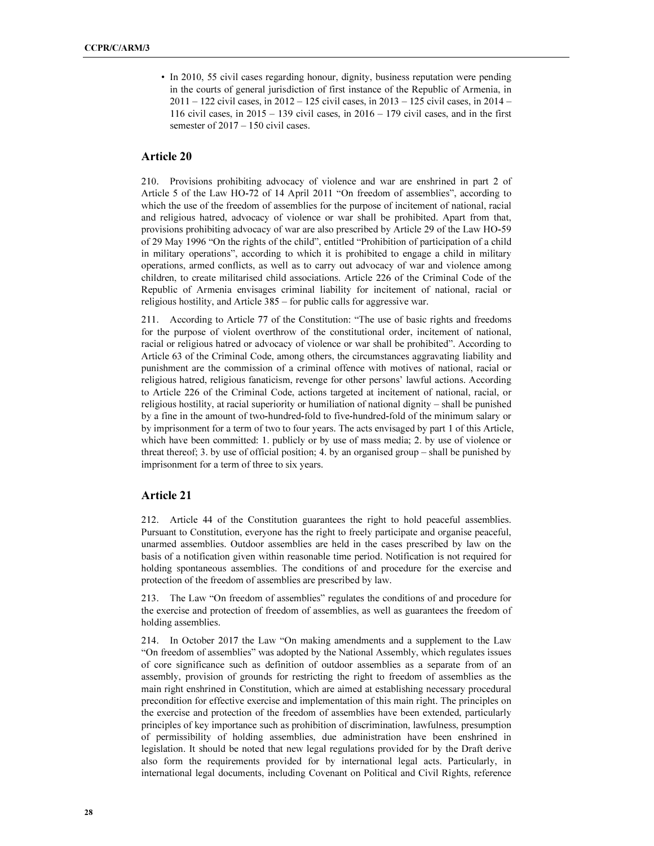• In 2010, 55 civil cases regarding honour, dignity, business reputation were pending in the courts of general jurisdiction of first instance of the Republic of Armenia, in  $2011 - 122$  civil cases, in  $2012 - 125$  civil cases, in  $2013 - 125$  civil cases, in  $2014 -$ 116 civil cases, in  $2015 - 139$  civil cases, in  $2016 - 179$  civil cases, and in the first semester of  $2017 - 150$  civil cases.

## Article 20

210. Provisions prohibiting advocacy of violence and war are enshrined in part 2 of Article 5 of the Law HO-72 of 14 April 2011 "On freedom of assemblies", according to which the use of the freedom of assemblies for the purpose of incitement of national, racial and religious hatred, advocacy of violence or war shall be prohibited. Apart from that, provisions prohibiting advocacy of war are also prescribed by Article 29 of the Law HO-59 of 29 May 1996 "On the rights of the child", entitled "Prohibition of participation of a child in military operations", according to which it is prohibited to engage a child in military operations, armed conflicts, as well as to carry out advocacy of war and violence among children, to create militarised child associations. Article 226 of the Criminal Code of the Republic of Armenia envisages criminal liability for incitement of national, racial or religious hostility, and Article 385 – for public calls for aggressive war.

211. According to Article 77 of the Constitution: "The use of basic rights and freedoms for the purpose of violent overthrow of the constitutional order, incitement of national, racial or religious hatred or advocacy of violence or war shall be prohibited". According to Article 63 of the Criminal Code, among others, the circumstances aggravating liability and punishment are the commission of a criminal offence with motives of national, racial or religious hatred, religious fanaticism, revenge for other persons' lawful actions. According to Article 226 of the Criminal Code, actions targeted at incitement of national, racial, or religious hostility, at racial superiority or humiliation of national dignity – shall be punished by a fine in the amount of two-hundred-fold to five-hundred-fold of the minimum salary or by imprisonment for a term of two to four years. The acts envisaged by part 1 of this Article, which have been committed: 1. publicly or by use of mass media; 2. by use of violence or threat thereof; 3. by use of official position; 4. by an organised group – shall be punished by imprisonment for a term of three to six years.

#### Article 21

212. Article 44 of the Constitution guarantees the right to hold peaceful assemblies. Pursuant to Constitution, everyone has the right to freely participate and organise peaceful, unarmed assemblies. Outdoor assemblies are held in the cases prescribed by law on the basis of a notification given within reasonable time period. Notification is not required for holding spontaneous assemblies. The conditions of and procedure for the exercise and protection of the freedom of assemblies are prescribed by law.

213. The Law "On freedom of assemblies" regulates the conditions of and procedure for the exercise and protection of freedom of assemblies, as well as guarantees the freedom of holding assemblies.

214. In October 2017 the Law "On making amendments and a supplement to the Law "On freedom of assemblies" was adopted by the National Assembly, which regulates issues of core significance such as definition of outdoor assemblies as a separate from of an assembly, provision of grounds for restricting the right to freedom of assemblies as the main right enshrined in Constitution, which are aimed at establishing necessary procedural precondition for effective exercise and implementation of this main right. The principles on the exercise and protection of the freedom of assemblies have been extended, particularly principles of key importance such as prohibition of discrimination, lawfulness, presumption of permissibility of holding assemblies, due administration have been enshrined in legislation. It should be noted that new legal regulations provided for by the Draft derive also form the requirements provided for by international legal acts. Particularly, in international legal documents, including Covenant on Political and Civil Rights, reference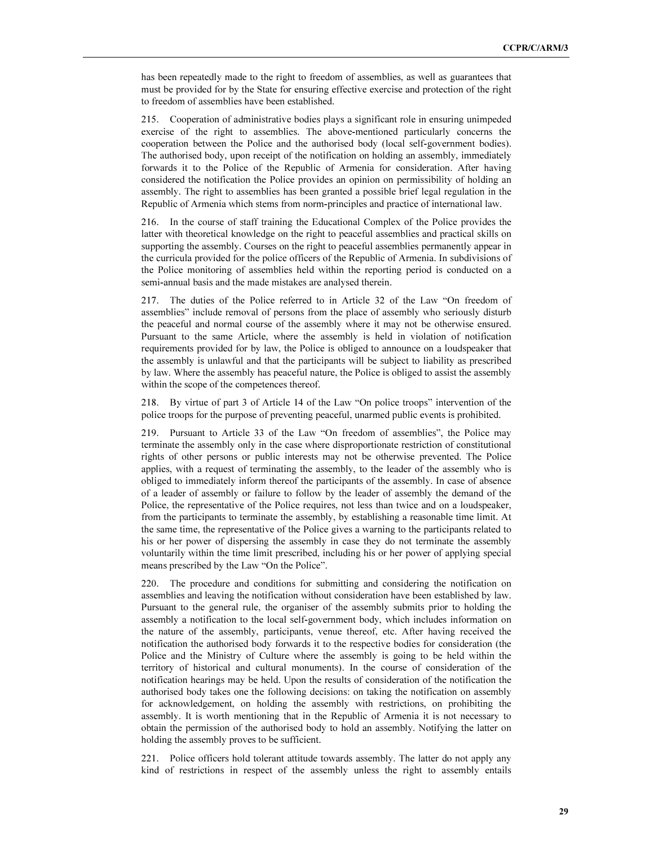has been repeatedly made to the right to freedom of assemblies, as well as guarantees that must be provided for by the State for ensuring effective exercise and protection of the right to freedom of assemblies have been established.

215. Cooperation of administrative bodies plays a significant role in ensuring unimpeded exercise of the right to assemblies. The above-mentioned particularly concerns the cooperation between the Police and the authorised body (local self-government bodies). The authorised body, upon receipt of the notification on holding an assembly, immediately forwards it to the Police of the Republic of Armenia for consideration. After having considered the notification the Police provides an opinion on permissibility of holding an assembly. The right to assemblies has been granted a possible brief legal regulation in the Republic of Armenia which stems from norm-principles and practice of international law.

216. In the course of staff training the Educational Complex of the Police provides the latter with theoretical knowledge on the right to peaceful assemblies and practical skills on supporting the assembly. Courses on the right to peaceful assemblies permanently appear in the curricula provided for the police officers of the Republic of Armenia. In subdivisions of the Police monitoring of assemblies held within the reporting period is conducted on a semi-annual basis and the made mistakes are analysed therein.

217. The duties of the Police referred to in Article 32 of the Law "On freedom of assemblies" include removal of persons from the place of assembly who seriously disturb the peaceful and normal course of the assembly where it may not be otherwise ensured. Pursuant to the same Article, where the assembly is held in violation of notification requirements provided for by law, the Police is obliged to announce on a loudspeaker that the assembly is unlawful and that the participants will be subject to liability as prescribed by law. Where the assembly has peaceful nature, the Police is obliged to assist the assembly within the scope of the competences thereof.

218. By virtue of part 3 of Article 14 of the Law "On police troops" intervention of the police troops for the purpose of preventing peaceful, unarmed public events is prohibited.

219. Pursuant to Article 33 of the Law "On freedom of assemblies", the Police may terminate the assembly only in the case where disproportionate restriction of constitutional rights of other persons or public interests may not be otherwise prevented. The Police applies, with a request of terminating the assembly, to the leader of the assembly who is obliged to immediately inform thereof the participants of the assembly. In case of absence of a leader of assembly or failure to follow by the leader of assembly the demand of the Police, the representative of the Police requires, not less than twice and on a loudspeaker, from the participants to terminate the assembly, by establishing a reasonable time limit. At the same time, the representative of the Police gives a warning to the participants related to his or her power of dispersing the assembly in case they do not terminate the assembly voluntarily within the time limit prescribed, including his or her power of applying special means prescribed by the Law "On the Police".

220. The procedure and conditions for submitting and considering the notification on assemblies and leaving the notification without consideration have been established by law. Pursuant to the general rule, the organiser of the assembly submits prior to holding the assembly a notification to the local self-government body, which includes information on the nature of the assembly, participants, venue thereof, etc. After having received the notification the authorised body forwards it to the respective bodies for consideration (the Police and the Ministry of Culture where the assembly is going to be held within the territory of historical and cultural monuments). In the course of consideration of the notification hearings may be held. Upon the results of consideration of the notification the authorised body takes one the following decisions: on taking the notification on assembly for acknowledgement, on holding the assembly with restrictions, on prohibiting the assembly. It is worth mentioning that in the Republic of Armenia it is not necessary to obtain the permission of the authorised body to hold an assembly. Notifying the latter on holding the assembly proves to be sufficient.

221. Police officers hold tolerant attitude towards assembly. The latter do not apply any kind of restrictions in respect of the assembly unless the right to assembly entails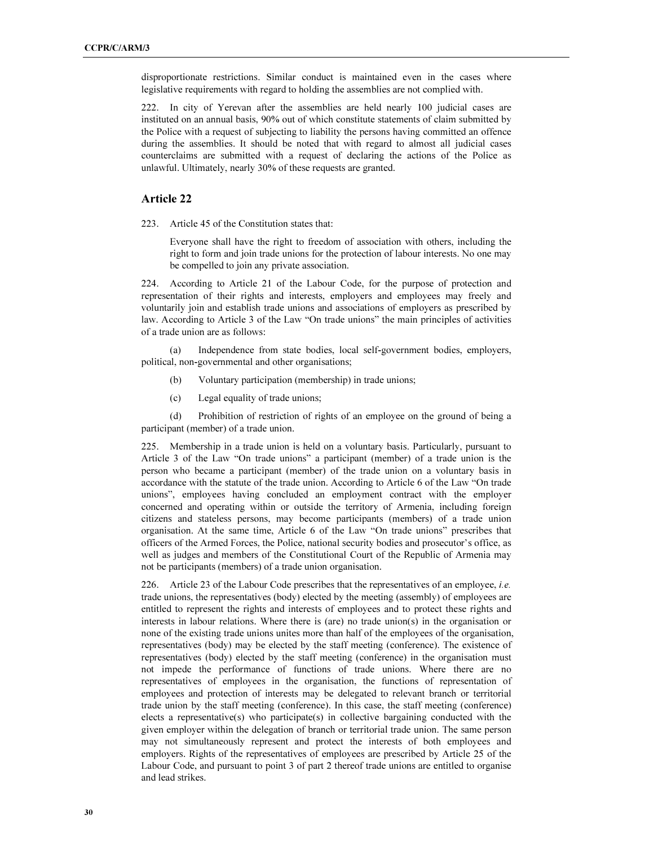disproportionate restrictions. Similar conduct is maintained even in the cases where legislative requirements with regard to holding the assemblies are not complied with.

222. In city of Yerevan after the assemblies are held nearly 100 judicial cases are instituted on an annual basis, 90% out of which constitute statements of claim submitted by the Police with a request of subjecting to liability the persons having committed an offence during the assemblies. It should be noted that with regard to almost all judicial cases counterclaims are submitted with a request of declaring the actions of the Police as unlawful. Ultimately, nearly 30% of these requests are granted.

#### Article 22

223. Article 45 of the Constitution states that:

Everyone shall have the right to freedom of association with others, including the right to form and join trade unions for the protection of labour interests. No one may be compelled to join any private association.

224. According to Article 21 of the Labour Code, for the purpose of protection and representation of their rights and interests, employers and employees may freely and voluntarily join and establish trade unions and associations of employers as prescribed by law. According to Article 3 of the Law "On trade unions" the main principles of activities of a trade union are as follows:

 (a) Independence from state bodies, local self-government bodies, employers, political, non-governmental and other organisations;

- (b) Voluntary participation (membership) in trade unions;
- (c) Legal equality of trade unions;

 (d) Prohibition of restriction of rights of an employee on the ground of being a participant (member) of a trade union.

225. Membership in a trade union is held on a voluntary basis. Particularly, pursuant to Article 3 of the Law "On trade unions" a participant (member) of a trade union is the person who became a participant (member) of the trade union on a voluntary basis in accordance with the statute of the trade union. According to Article 6 of the Law "On trade unions", employees having concluded an employment contract with the employer concerned and operating within or outside the territory of Armenia, including foreign citizens and stateless persons, may become participants (members) of a trade union organisation. At the same time, Article 6 of the Law "On trade unions" prescribes that officers of the Armed Forces, the Police, national security bodies and prosecutor's office, as well as judges and members of the Constitutional Court of the Republic of Armenia may not be participants (members) of a trade union organisation.

226. Article 23 of the Labour Code prescribes that the representatives of an employee, i.e. trade unions, the representatives (body) elected by the meeting (assembly) of employees are entitled to represent the rights and interests of employees and to protect these rights and interests in labour relations. Where there is (are) no trade union(s) in the organisation or none of the existing trade unions unites more than half of the employees of the organisation, representatives (body) may be elected by the staff meeting (conference). The existence of representatives (body) elected by the staff meeting (conference) in the organisation must not impede the performance of functions of trade unions. Where there are no representatives of employees in the organisation, the functions of representation of employees and protection of interests may be delegated to relevant branch or territorial trade union by the staff meeting (conference). In this case, the staff meeting (conference) elects a representative(s) who participate(s) in collective bargaining conducted with the given employer within the delegation of branch or territorial trade union. The same person may not simultaneously represent and protect the interests of both employees and employers. Rights of the representatives of employees are prescribed by Article 25 of the Labour Code, and pursuant to point 3 of part 2 thereof trade unions are entitled to organise and lead strikes.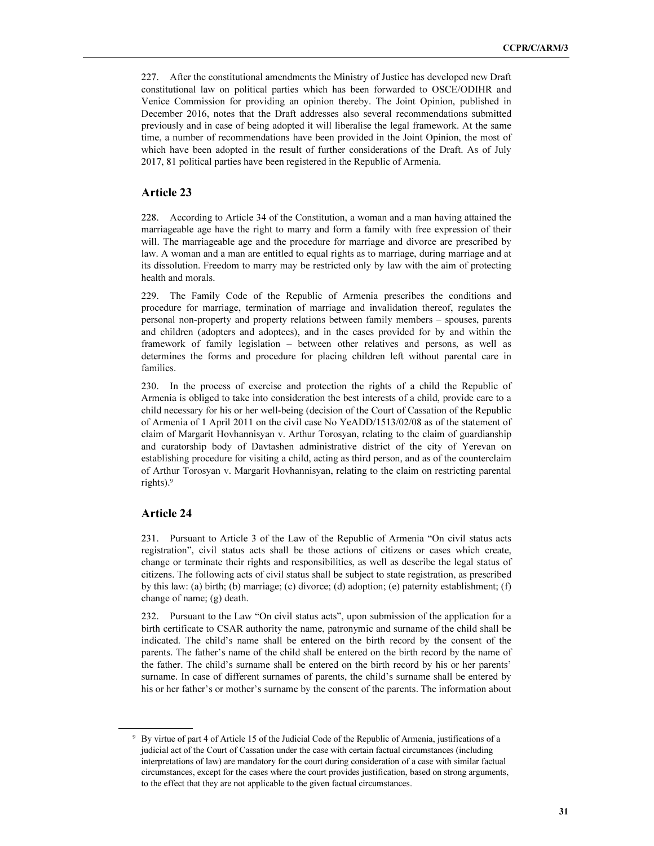227. After the constitutional amendments the Ministry of Justice has developed new Draft constitutional law on political parties which has been forwarded to OSCE/ODIHR and Venice Commission for providing an opinion thereby. The Joint Opinion, published in December 2016, notes that the Draft addresses also several recommendations submitted previously and in case of being adopted it will liberalise the legal framework. At the same time, a number of recommendations have been provided in the Joint Opinion, the most of which have been adopted in the result of further considerations of the Draft. As of July 2017, 81 political parties have been registered in the Republic of Armenia.

### Article 23

228. According to Article 34 of the Constitution, a woman and a man having attained the marriageable age have the right to marry and form a family with free expression of their will. The marriageable age and the procedure for marriage and divorce are prescribed by law. A woman and a man are entitled to equal rights as to marriage, during marriage and at its dissolution. Freedom to marry may be restricted only by law with the aim of protecting health and morals.

229. The Family Code of the Republic of Armenia prescribes the conditions and procedure for marriage, termination of marriage and invalidation thereof, regulates the personal non-property and property relations between family members – spouses, parents and children (adopters and adoptees), and in the cases provided for by and within the framework of family legislation – between other relatives and persons, as well as determines the forms and procedure for placing children left without parental care in families.

230. In the process of exercise and protection the rights of a child the Republic of Armenia is obliged to take into consideration the best interests of a child, provide care to a child necessary for his or her well-being (decision of the Court of Cassation of the Republic of Armenia of 1 April 2011 on the civil case No YeADD/1513/02/08 as of the statement of claim of Margarit Hovhannisyan v. Arthur Torosyan, relating to the claim of guardianship and curatorship body of Davtashen administrative district of the city of Yerevan on establishing procedure for visiting a child, acting as third person, and as of the counterclaim of Arthur Torosyan v. Margarit Hovhannisyan, relating to the claim on restricting parental rights).<sup>9</sup>

## Article 24

 $\overline{a}$ 

231. Pursuant to Article 3 of the Law of the Republic of Armenia "On civil status acts registration", civil status acts shall be those actions of citizens or cases which create, change or terminate their rights and responsibilities, as well as describe the legal status of citizens. The following acts of civil status shall be subject to state registration, as prescribed by this law: (a) birth; (b) marriage; (c) divorce; (d) adoption; (e) paternity establishment; (f) change of name; (g) death.

232. Pursuant to the Law "On civil status acts", upon submission of the application for a birth certificate to CSAR authority the name, patronymic and surname of the child shall be indicated. The child's name shall be entered on the birth record by the consent of the parents. The father's name of the child shall be entered on the birth record by the name of the father. The child's surname shall be entered on the birth record by his or her parents' surname. In case of different surnames of parents, the child's surname shall be entered by his or her father's or mother's surname by the consent of the parents. The information about

<sup>&</sup>lt;sup>9</sup> By virtue of part 4 of Article 15 of the Judicial Code of the Republic of Armenia, justifications of a judicial act of the Court of Cassation under the case with certain factual circumstances (including interpretations of law) are mandatory for the court during consideration of a case with similar factual circumstances, except for the cases where the court provides justification, based on strong arguments, to the effect that they are not applicable to the given factual circumstances.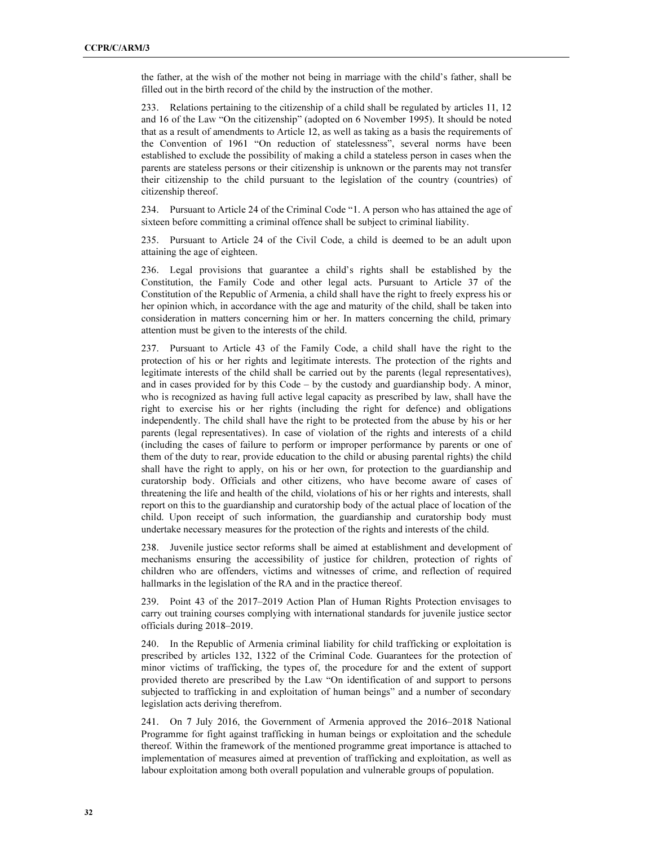the father, at the wish of the mother not being in marriage with the child's father, shall be filled out in the birth record of the child by the instruction of the mother.

233. Relations pertaining to the citizenship of a child shall be regulated by articles 11, 12 and 16 of the Law "On the citizenship" (adopted on 6 November 1995). It should be noted that as a result of amendments to Article 12, as well as taking as a basis the requirements of the Convention of 1961 "On reduction of statelessness", several norms have been established to exclude the possibility of making a child a stateless person in cases when the parents are stateless persons or their citizenship is unknown or the parents may not transfer their citizenship to the child pursuant to the legislation of the country (countries) of citizenship thereof.

234. Pursuant to Article 24 of the Criminal Code "1. A person who has attained the age of sixteen before committing a criminal offence shall be subject to criminal liability.

235. Pursuant to Article 24 of the Civil Code, a child is deemed to be an adult upon attaining the age of eighteen.

236. Legal provisions that guarantee a child's rights shall be established by the Constitution, the Family Code and other legal acts. Pursuant to Article 37 of the Constitution of the Republic of Armenia, a child shall have the right to freely express his or her opinion which, in accordance with the age and maturity of the child, shall be taken into consideration in matters concerning him or her. In matters concerning the child, primary attention must be given to the interests of the child.

237. Pursuant to Article 43 of the Family Code, a child shall have the right to the protection of his or her rights and legitimate interests. The protection of the rights and legitimate interests of the child shall be carried out by the parents (legal representatives), and in cases provided for by this Code – by the custody and guardianship body. A minor, who is recognized as having full active legal capacity as prescribed by law, shall have the right to exercise his or her rights (including the right for defence) and obligations independently. The child shall have the right to be protected from the abuse by his or her parents (legal representatives). In case of violation of the rights and interests of a child (including the cases of failure to perform or improper performance by parents or one of them of the duty to rear, provide education to the child or abusing parental rights) the child shall have the right to apply, on his or her own, for protection to the guardianship and curatorship body. Officials and other citizens, who have become aware of cases of threatening the life and health of the child, violations of his or her rights and interests, shall report on this to the guardianship and curatorship body of the actual place of location of the child. Upon receipt of such information, the guardianship and curatorship body must undertake necessary measures for the protection of the rights and interests of the child.

238. Juvenile justice sector reforms shall be aimed at establishment and development of mechanisms ensuring the accessibility of justice for children, protection of rights of children who are offenders, victims and witnesses of crime, and reflection of required hallmarks in the legislation of the RA and in the practice thereof.

239. Point 43 of the 2017–2019 Action Plan of Human Rights Protection envisages to carry out training courses complying with international standards for juvenile justice sector officials during 2018–2019.

240. In the Republic of Armenia criminal liability for child trafficking or exploitation is prescribed by articles 132, 1322 of the Criminal Code. Guarantees for the protection of minor victims of trafficking, the types of, the procedure for and the extent of support provided thereto are prescribed by the Law "On identification of and support to persons subjected to trafficking in and exploitation of human beings" and a number of secondary legislation acts deriving therefrom.

241. On 7 July 2016, the Government of Armenia approved the 2016–2018 National Programme for fight against trafficking in human beings or exploitation and the schedule thereof. Within the framework of the mentioned programme great importance is attached to implementation of measures aimed at prevention of trafficking and exploitation, as well as labour exploitation among both overall population and vulnerable groups of population.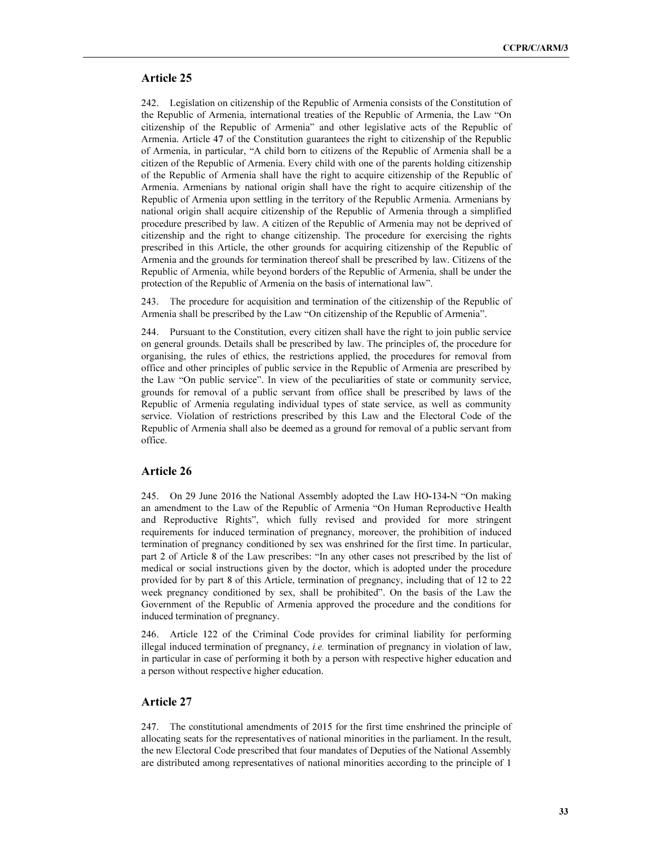#### Article 25

242. Legislation on citizenship of the Republic of Armenia consists of the Constitution of the Republic of Armenia, international treaties of the Republic of Armenia, the Law "On citizenship of the Republic of Armenia" and other legislative acts of the Republic of Armenia. Article 47 of the Constitution guarantees the right to citizenship of the Republic of Armenia, in particular, "A child born to citizens of the Republic of Armenia shall be a citizen of the Republic of Armenia. Every child with one of the parents holding citizenship of the Republic of Armenia shall have the right to acquire citizenship of the Republic of Armenia. Armenians by national origin shall have the right to acquire citizenship of the Republic of Armenia upon settling in the territory of the Republic Armenia. Armenians by national origin shall acquire citizenship of the Republic of Armenia through a simplified procedure prescribed by law. A citizen of the Republic of Armenia may not be deprived of citizenship and the right to change citizenship. The procedure for exercising the rights prescribed in this Article, the other grounds for acquiring citizenship of the Republic of Armenia and the grounds for termination thereof shall be prescribed by law. Citizens of the Republic of Armenia, while beyond borders of the Republic of Armenia, shall be under the protection of the Republic of Armenia on the basis of international law".

243. The procedure for acquisition and termination of the citizenship of the Republic of Armenia shall be prescribed by the Law "On citizenship of the Republic of Armenia".

244. Pursuant to the Constitution, every citizen shall have the right to join public service on general grounds. Details shall be prescribed by law. The principles of, the procedure for organising, the rules of ethics, the restrictions applied, the procedures for removal from office and other principles of public service in the Republic of Armenia are prescribed by the Law "On public service". In view of the peculiarities of state or community service, grounds for removal of a public servant from office shall be prescribed by laws of the Republic of Armenia regulating individual types of state service, as well as community service. Violation of restrictions prescribed by this Law and the Electoral Code of the Republic of Armenia shall also be deemed as a ground for removal of a public servant from office.

#### Article 26

245. On 29 June 2016 the National Assembly adopted the Law HO-134-N "On making an amendment to the Law of the Republic of Armenia "On Human Reproductive Health and Reproductive Rights", which fully revised and provided for more stringent requirements for induced termination of pregnancy, moreover, the prohibition of induced termination of pregnancy conditioned by sex was enshrined for the first time. In particular, part 2 of Article 8 of the Law prescribes: "In any other cases not prescribed by the list of medical or social instructions given by the doctor, which is adopted under the procedure provided for by part 8 of this Article, termination of pregnancy, including that of 12 to 22 week pregnancy conditioned by sex, shall be prohibited". On the basis of the Law the Government of the Republic of Armenia approved the procedure and the conditions for induced termination of pregnancy.

246. Article 122 of the Criminal Code provides for criminal liability for performing illegal induced termination of pregnancy, *i.e.* termination of pregnancy in violation of law, in particular in case of performing it both by a person with respective higher education and a person without respective higher education.

#### Article 27

247. The constitutional amendments of 2015 for the first time enshrined the principle of allocating seats for the representatives of national minorities in the parliament. In the result, the new Electoral Code prescribed that four mandates of Deputies of the National Assembly are distributed among representatives of national minorities according to the principle of 1